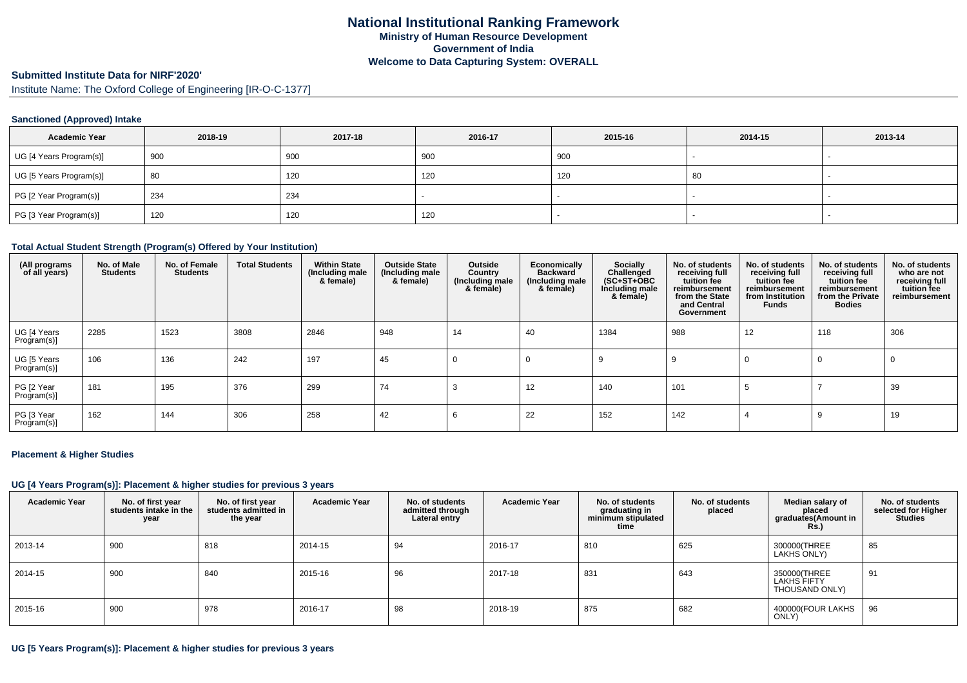# **Submitted Institute Data for NIRF'2020'**

Institute Name: The Oxford College of Engineering [IR-O-C-1377]

### **Sanctioned (Approved) Intake**

| <b>Academic Year</b>    | 2018-19 | 2017-18 | 2016-17 | 2015-16 | 2014-15 | 2013-14                  |
|-------------------------|---------|---------|---------|---------|---------|--------------------------|
| UG [4 Years Program(s)] | 900     | 900     | 900     | 900     |         | $\overline{\phantom{a}}$ |
| UG [5 Years Program(s)] | 80      | 120     | 120     | 120     | 80      |                          |
| PG [2 Year Program(s)]  | 234     | 234     |         |         |         |                          |
| PG [3 Year Program(s)]  | 120     | 120     | 120     |         |         |                          |

### **Total Actual Student Strength (Program(s) Offered by Your Institution)**

| (All programs<br>of all years) | No. of Male<br><b>Students</b> | No. of Female<br><b>Students</b> | <b>Total Students</b> | <b>Within State</b><br>(Including male<br>& female) | <b>Outside State</b><br>(Including male<br>& female) | Outside<br>Country<br>(Including male)<br>& female) | <b>Economically</b><br><b>Backward</b><br>(Including male)<br>& female) | Socially<br>Challenged<br>$(SC+ST+OBC)$<br>Including male<br>& female) | No. of students<br>receiving full<br>tuition fee<br>reimbursement<br>from the State<br>and Central<br>Government | No. of students<br>receiving full<br>tuition fee<br>reimbursement<br>from Institution<br>Funds | No. of students<br>receiving full<br>tuition fee<br>reimbursement<br>from the Private<br><b>Bodies</b> | No. of students<br>who are not<br>receiving full<br>tuition fee<br>reimbursement |
|--------------------------------|--------------------------------|----------------------------------|-----------------------|-----------------------------------------------------|------------------------------------------------------|-----------------------------------------------------|-------------------------------------------------------------------------|------------------------------------------------------------------------|------------------------------------------------------------------------------------------------------------------|------------------------------------------------------------------------------------------------|--------------------------------------------------------------------------------------------------------|----------------------------------------------------------------------------------|
| UG [4 Years<br>Program(s)]     | 2285                           | 1523                             | 3808                  | 2846                                                | 948                                                  | 14                                                  | 40                                                                      | 1384                                                                   | 988                                                                                                              | 12                                                                                             | 118                                                                                                    | 306                                                                              |
| UG [5 Years<br>Program(s)]     | 106                            | 136                              | 242                   | 197                                                 | 45                                                   | 0                                                   | - 0                                                                     | 9                                                                      |                                                                                                                  | 0                                                                                              | $\mathbf 0$                                                                                            | 0                                                                                |
| PG [2 Year<br>Program(s)]      | 181                            | 195                              | 376                   | 299                                                 | 74                                                   |                                                     | 12                                                                      | 140                                                                    | 101                                                                                                              | Ð                                                                                              |                                                                                                        | 39                                                                               |
| PG [3 Year<br>Program(s)]      | 162                            | 144                              | 306                   | 258                                                 | 42                                                   | b                                                   | 22                                                                      | 152                                                                    | 142                                                                                                              |                                                                                                |                                                                                                        | 19                                                                               |

#### **Placement & Higher Studies**

#### **UG [4 Years Program(s)]: Placement & higher studies for previous 3 years**

| <b>Academic Year</b> | No. of first year<br>students intake in the<br>year | No. of first vear<br>students admitted in<br>the year | <b>Academic Year</b> | No. of students<br>admitted through<br>Lateral entry | <b>Academic Year</b> | No. of students<br>graduating in<br>minimum stipulated<br>time | No. of students<br>placed | Median salary of<br>placed<br>graduates(Amount in<br><b>Rs.)</b> | No. of students<br>selected for Higher<br><b>Studies</b> |
|----------------------|-----------------------------------------------------|-------------------------------------------------------|----------------------|------------------------------------------------------|----------------------|----------------------------------------------------------------|---------------------------|------------------------------------------------------------------|----------------------------------------------------------|
| 2013-14              | 900                                                 | 818                                                   | 2014-15              | 94                                                   | 2016-17              | 810                                                            | 625                       | 300000(THREE<br>LAKHS ONLY)                                      | 85                                                       |
| 2014-15              | 900                                                 | 840                                                   | 2015-16              | 96                                                   | 2017-18              | 831                                                            | 643                       | 350000(THREE<br><b>LAKHS FIFTY</b><br>THOUSAND ONLY)             | 91                                                       |
| 2015-16              | 900                                                 | 978                                                   | 2016-17              | 98                                                   | 2018-19              | 875                                                            | 682                       | 400000(FOUR LAKHS<br>ONLY)                                       | 96                                                       |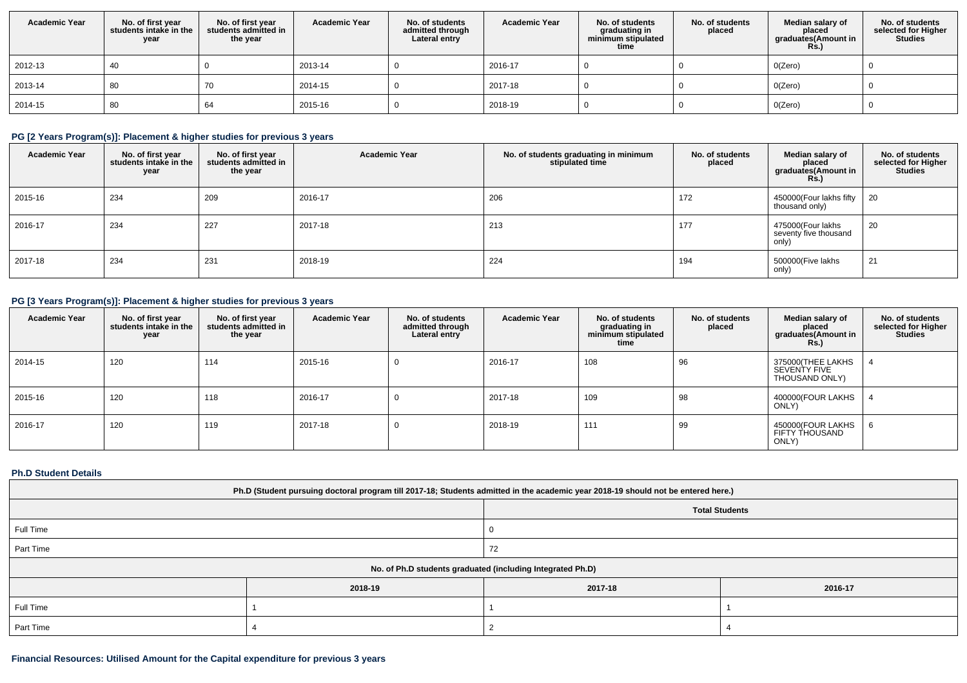| <b>Academic Year</b> | No. of first year<br>students intake in the<br>year | No. of first year<br>students admitted in<br>the year | <b>Academic Year</b> | No. of students<br>admitted through<br>Lateral entry | <b>Academic Year</b> | No. of students<br>graduating in<br>minimum stipulated<br>time | No. of students<br>placed | Median salary of<br>placed<br>graduates(Amount in<br>Rs.) | No. of students<br>selected for Higher<br><b>Studies</b> |
|----------------------|-----------------------------------------------------|-------------------------------------------------------|----------------------|------------------------------------------------------|----------------------|----------------------------------------------------------------|---------------------------|-----------------------------------------------------------|----------------------------------------------------------|
| 2012-13              | 40                                                  |                                                       | 2013-14              |                                                      | 2016-17              |                                                                |                           | O(Zero)                                                   |                                                          |
| 2013-14              | 80                                                  | 70                                                    | 2014-15              |                                                      | 2017-18              |                                                                |                           | O(Zero)                                                   |                                                          |
| 2014-15              | 80                                                  | 64                                                    | 2015-16              |                                                      | 2018-19              |                                                                |                           | O(Zero)                                                   |                                                          |

## **PG [2 Years Program(s)]: Placement & higher studies for previous 3 years**

| <b>Academic Year</b> | No. of first year<br>students intake in the<br>year | No. of first year<br>students admitted in<br>the year | <b>Academic Year</b> | No. of students graduating in minimum<br>stipulated time | No. of students<br>placed | Median salary of<br>placed<br>graduates(Amount in<br>R <sub>S</sub> | No. of students<br>selected for Higher<br><b>Studies</b> |
|----------------------|-----------------------------------------------------|-------------------------------------------------------|----------------------|----------------------------------------------------------|---------------------------|---------------------------------------------------------------------|----------------------------------------------------------|
| 2015-16              | 234                                                 | 209                                                   | 2016-17              | 206                                                      | 172                       | 450000(Four lakhs fifty<br>thousand only)                           | -20                                                      |
| 2016-17              | 234                                                 | 227                                                   | 2017-18              | 213                                                      | 177                       | 475000(Four lakhs<br>seventy five thousand<br>only)                 | 20                                                       |
| 2017-18              | 234                                                 | 231                                                   | 2018-19              | 224                                                      | 194                       | 500000(Five lakhs<br>only)                                          | 21                                                       |

# **PG [3 Years Program(s)]: Placement & higher studies for previous 3 years**

| <b>Academic Year</b> | No. of first year<br>students intake in the<br>year | No. of first year<br>students admitted in<br>the year | <b>Academic Year</b> | No. of students<br>admitted through<br>Lateral entry | <b>Academic Year</b> | No. of students<br>graduating in<br>minimum stipulated<br>time | No. of students<br>placed | Median salary of<br>placed<br>graduates(Amount in<br><b>Rs.)</b> | No. of students<br>selected for Higher<br><b>Studies</b> |
|----------------------|-----------------------------------------------------|-------------------------------------------------------|----------------------|------------------------------------------------------|----------------------|----------------------------------------------------------------|---------------------------|------------------------------------------------------------------|----------------------------------------------------------|
| 2014-15              | 120                                                 | 114                                                   | 2015-16              | U                                                    | 2016-17              | 108                                                            | 96                        | 375000(THEE LAKHS<br>SEVENTY FIVE<br>THOUSAND ONLY)              |                                                          |
| 2015-16              | 120                                                 | 118                                                   | 2016-17              |                                                      | 2017-18              | 109                                                            | 98                        | 400000(FOUR LAKHS<br>ONLY)                                       |                                                          |
| 2016-17              | 120                                                 | 119                                                   | 2017-18              | v                                                    | 2018-19              | 111                                                            | 99                        | 450000(FOUR LAKHS<br><b>FIFTY THOUSAND</b><br>ONLY)              |                                                          |

## **Ph.D Student Details**

| Ph.D (Student pursuing doctoral program till 2017-18; Students admitted in the academic year 2018-19 should not be entered here.) |                       |         |         |  |  |  |
|-----------------------------------------------------------------------------------------------------------------------------------|-----------------------|---------|---------|--|--|--|
|                                                                                                                                   | <b>Total Students</b> |         |         |  |  |  |
| Full Time                                                                                                                         |                       | O       |         |  |  |  |
| Part Time                                                                                                                         |                       | 72      |         |  |  |  |
| No. of Ph.D students graduated (including Integrated Ph.D)                                                                        |                       |         |         |  |  |  |
|                                                                                                                                   | 2018-19               | 2017-18 | 2016-17 |  |  |  |
| Full Time                                                                                                                         |                       |         |         |  |  |  |
| Part Time                                                                                                                         |                       |         |         |  |  |  |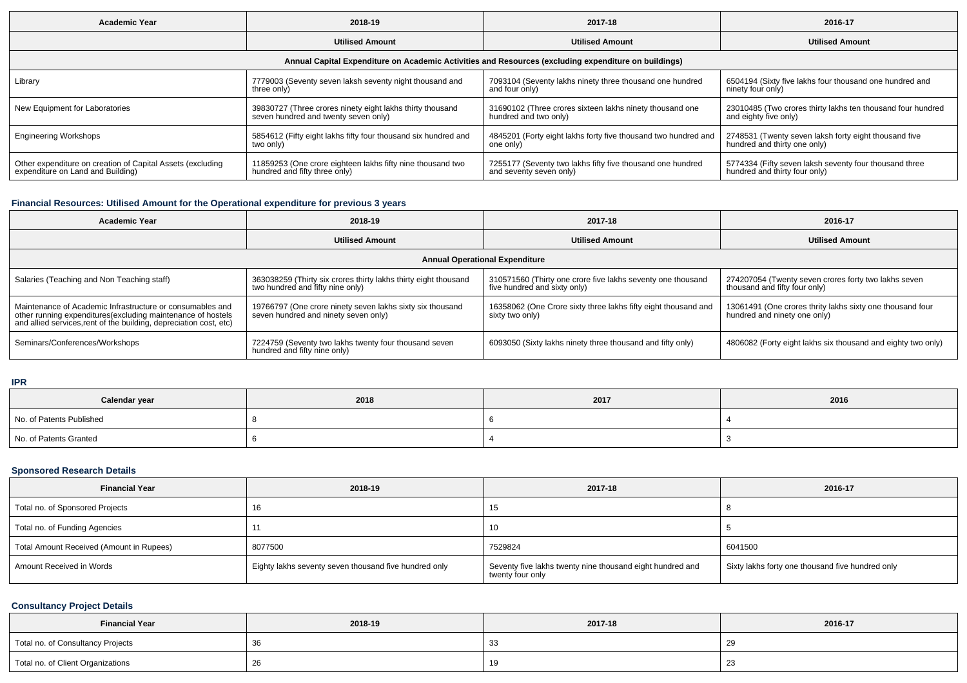| Academic Year                                                                                        | 2018-19                                                        | 2017-18                                                        | 2016-17                                                     |  |  |  |  |  |  |
|------------------------------------------------------------------------------------------------------|----------------------------------------------------------------|----------------------------------------------------------------|-------------------------------------------------------------|--|--|--|--|--|--|
|                                                                                                      | <b>Utilised Amount</b>                                         |                                                                | <b>Utilised Amount</b>                                      |  |  |  |  |  |  |
| Annual Capital Expenditure on Academic Activities and Resources (excluding expenditure on buildings) |                                                                |                                                                |                                                             |  |  |  |  |  |  |
| Library                                                                                              | 7779003 (Seventy seven laksh seventy night thousand and        | 7093104 (Seventy lakhs ninety three thousand one hundred       | 6504194 (Sixty five lakhs four thousand one hundred and     |  |  |  |  |  |  |
|                                                                                                      | three only)                                                    | and four only)                                                 | ninety four only)                                           |  |  |  |  |  |  |
| New Equipment for Laboratories                                                                       | 39830727 (Three crores ninety eight lakhs thirty thousand      | 31690102 (Three crores sixteen lakhs ninety thousand one       | 23010485 (Two crores thirty lakhs ten thousand four hundred |  |  |  |  |  |  |
|                                                                                                      | seven hundred and twenty seven only)                           | hundred and two only)                                          | and eighty five only)                                       |  |  |  |  |  |  |
| <b>Engineering Workshops</b>                                                                         | 5854612 (Fifty eight lakhs fifty four thousand six hundred and | 4845201 (Forty eight lakhs forty five thousand two hundred and | 2748531 (Twenty seven laksh forty eight thousand five       |  |  |  |  |  |  |
|                                                                                                      | two only)                                                      | one only)                                                      | hundred and thirty one only)                                |  |  |  |  |  |  |
| Other expenditure on creation of Capital Assets (excluding                                           | 11859253 (One crore eighteen lakhs fifty nine thousand two     | 7255177 (Seventy two lakhs fifty five thousand one hundred     | 5774334 (Fifty seven laksh seventy four thousand three      |  |  |  |  |  |  |
| expenditure on Land and Building)                                                                    | hundred and fifty three only)                                  | and seventy seven only)                                        | hundred and thirty four only)                               |  |  |  |  |  |  |

# **Financial Resources: Utilised Amount for the Operational expenditure for previous 3 years**

| <b>Academic Year</b>                                                                                                                                                                           | 2018-19                                                                                             | 2017-18                                                                                     | 2016-17                                                                                   |  |  |  |  |  |
|------------------------------------------------------------------------------------------------------------------------------------------------------------------------------------------------|-----------------------------------------------------------------------------------------------------|---------------------------------------------------------------------------------------------|-------------------------------------------------------------------------------------------|--|--|--|--|--|
|                                                                                                                                                                                                | <b>Utilised Amount</b>                                                                              | <b>Utilised Amount</b>                                                                      | <b>Utilised Amount</b>                                                                    |  |  |  |  |  |
| <b>Annual Operational Expenditure</b>                                                                                                                                                          |                                                                                                     |                                                                                             |                                                                                           |  |  |  |  |  |
| Salaries (Teaching and Non Teaching staff)                                                                                                                                                     | 363038259 (Thirty six crores thirty lakhs thirty eight thousand<br>two hundred and fifty nine only) | 310571560 (Thirty one crore five lakhs seventy one thousand<br>five hundred and sixty only) | 274207054 (Twenty seven crores forty two lakhs seven<br>thousand and fifty four only)     |  |  |  |  |  |
| Maintenance of Academic Infrastructure or consumables and<br>other running expenditures(excluding maintenance of hostels<br>and allied services, rent of the building, depreciation cost, etc) | 19766797 (One crore ninety seven lakhs sixty six thousand<br>seven hundred and ninety seven only)   | 16358062 (One Crore sixty three lakhs fifty eight thousand and<br>sixty two only)           | 13061491 (One crores thrity lakhs sixty one thousand four<br>hundred and ninety one only) |  |  |  |  |  |
| Seminars/Conferences/Workshops                                                                                                                                                                 | 7224759 (Seventy two lakhs twenty four thousand seven<br>hundred and fifty nine only)               | 6093050 (Sixty lakhs ninety three thousand and fifty only)                                  | 4806082 (Forty eight lakhs six thousand and eighty two only)                              |  |  |  |  |  |

### **IPR**

| Calendar year            | 2018 | 2017 | 2016 |
|--------------------------|------|------|------|
| No. of Patents Published |      |      |      |
| No. of Patents Granted   |      |      |      |

## **Sponsored Research Details**

| <b>Financial Year</b>                    | 2018-19                                               | 2017-18                                                                       | 2016-17                                          |
|------------------------------------------|-------------------------------------------------------|-------------------------------------------------------------------------------|--------------------------------------------------|
| Total no. of Sponsored Projects          | 16                                                    | 15                                                                            |                                                  |
| Total no. of Funding Agencies            |                                                       | 10                                                                            |                                                  |
| Total Amount Received (Amount in Rupees) | 8077500                                               | 7529824                                                                       | 6041500                                          |
| Amount Received in Words                 | Eighty lakhs seventy seven thousand five hundred only | Seventy five lakhs twenty nine thousand eight hundred and<br>twenty four only | Sixty lakhs forty one thousand five hundred only |

## **Consultancy Project Details**

| <b>Financial Year</b>             | 2018-19 | 2017-18 | 2016-17 |
|-----------------------------------|---------|---------|---------|
| Total no. of Consultancy Projects |         |         | -29     |
| Total no. of Client Organizations | - ZC    |         | 23      |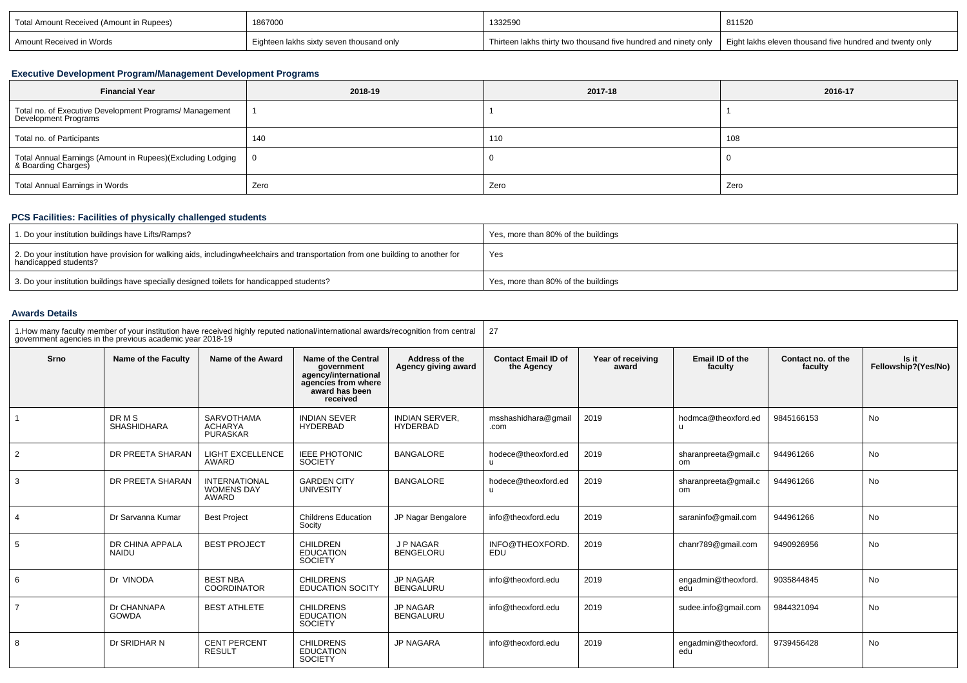| Total Amount Received (Amount in Rupees) | 1867000<br>1332590                       |                                                                 | 811520                                                   |  |
|------------------------------------------|------------------------------------------|-----------------------------------------------------------------|----------------------------------------------------------|--|
| Amount Received in Words                 | Eighteen lakhs sixty seven thousand only | Thirteen lakhs thirty two thousand five hundred and ninety only | Eight lakhs eleven thousand five hundred and twenty only |  |

## **Executive Development Program/Management Development Programs**

| <b>Financial Year</b>                                                                  | 2018-19 | 2017-18 | 2016-17 |
|----------------------------------------------------------------------------------------|---------|---------|---------|
| Total no. of Executive Development Programs/ Management<br><b>Development Programs</b> |         |         |         |
| Total no. of Participants                                                              | 140     | 110     | 108     |
| Total Annual Earnings (Amount in Rupees)(Excluding Lodging  <br>& Boarding Charges)    |         |         |         |
| Total Annual Earnings in Words                                                         | Zero    | Zero    | Zero    |

# **PCS Facilities: Facilities of physically challenged students**

| 1. Do your institution buildings have Lifts/Ramps?                                                                                                        | Yes, more than 80% of the buildings |
|-----------------------------------------------------------------------------------------------------------------------------------------------------------|-------------------------------------|
| 2. Do your institution have provision for walking aids, includingwheelchairs and transportation from one building to another for<br>handicapped students? | Yes                                 |
| <sup>1</sup> 3. Do your institution buildings have specially designed toilets for handicapped students?                                                   | Yes, more than 80% of the buildings |

## **Awards Details**

| 1. How many faculty member of your institution have received highly reputed national/international awards/recognition from central<br>government agencies in the previous academic year 2018-19 |                              |                                                    |                                                                                                                       |                                          | 27                                       |                            |                            |                               |                              |
|-------------------------------------------------------------------------------------------------------------------------------------------------------------------------------------------------|------------------------------|----------------------------------------------------|-----------------------------------------------------------------------------------------------------------------------|------------------------------------------|------------------------------------------|----------------------------|----------------------------|-------------------------------|------------------------------|
| Srno                                                                                                                                                                                            | Name of the Faculty          | Name of the Award                                  | <b>Name of the Central</b><br>aovernment<br>agency/international<br>agencies from where<br>award has been<br>received | Address of the<br>Agency giving award    | <b>Contact Email ID of</b><br>the Agency | Year of receiving<br>award | Email ID of the<br>faculty | Contact no. of the<br>faculty | Is it<br>Fellowship?(Yes/No) |
| $\overline{1}$                                                                                                                                                                                  | DR M S<br><b>SHASHIDHARA</b> | SARVOTHAMA<br><b>ACHARYA</b><br><b>PURASKAR</b>    | <b>INDIAN SEVER</b><br><b>HYDERBAD</b>                                                                                | <b>INDIAN SERVER.</b><br><b>HYDERBAD</b> | msshashidhara@qmail<br>.com              | 2019                       | hodmca@theoxford.ed<br>u   | 9845166153                    | <b>No</b>                    |
| 2                                                                                                                                                                                               | DR PREETA SHARAN             | <b>LIGHT EXCELLENCE</b><br>AWARD                   | <b>IEEE PHOTONIC</b><br><b>SOCIETY</b>                                                                                | <b>BANGALORE</b>                         | hodece@theoxford.ed<br>u                 | 2019                       | sharanpreeta@qmail.c<br>om | 944961266                     | <b>No</b>                    |
| 3                                                                                                                                                                                               | DR PREETA SHARAN             | <b>INTERNATIONAL</b><br><b>WOMENS DAY</b><br>AWARD | <b>GARDEN CITY</b><br>UNIVESITY                                                                                       | <b>BANGALORE</b>                         | hodece@theoxford.ed<br>u                 | 2019                       | sharanpreeta@qmail.c<br>om | 944961266                     | No                           |
| $\overline{4}$                                                                                                                                                                                  | Dr Sarvanna Kumar            | <b>Best Project</b>                                | <b>Childrens Education</b><br>Socity                                                                                  | JP Nagar Bengalore                       | info@theoxford.edu                       | 2019                       | saraninfo@gmail.com        | 944961266                     | <b>No</b>                    |
| 5                                                                                                                                                                                               | DR CHINA APPALA<br>NAIDU     | <b>BEST PROJECT</b>                                | <b>CHILDREN</b><br><b>EDUCATION</b><br><b>SOCIETY</b>                                                                 | J P NAGAR<br><b>BENGELORU</b>            | INFO@THEOXFORD.<br><b>EDU</b>            | 2019                       | chanr789@gmail.com         | 9490926956                    | <b>No</b>                    |
| 6                                                                                                                                                                                               | Dr VINODA                    | <b>BEST NBA</b><br><b>COORDINATOR</b>              | <b>CHILDRENS</b><br><b>EDUCATION SOCITY</b>                                                                           | <b>JP NAGAR</b><br><b>BENGALURU</b>      | info@theoxford.edu                       | 2019                       | engadmin@theoxford.<br>edu | 9035844845                    | <b>No</b>                    |
| $\overline{7}$                                                                                                                                                                                  | Dr CHANNAPA<br><b>GOWDA</b>  | <b>BEST ATHLETE</b>                                | <b>CHILDRENS</b><br><b>EDUCATION</b><br><b>SOCIETY</b>                                                                | <b>JP NAGAR</b><br><b>BENGALURU</b>      | info@theoxford.edu                       | 2019                       | sudee.info@gmail.com       | 9844321094                    | <b>No</b>                    |
| 8                                                                                                                                                                                               | Dr SRIDHAR N                 | <b>CENT PERCENT</b><br><b>RESULT</b>               | <b>CHILDRENS</b><br><b>EDUCATION</b><br><b>SOCIETY</b>                                                                | <b>JP NAGARA</b>                         | info@theoxford.edu                       | 2019                       | engadmin@theoxford.<br>edŭ | 9739456428                    | <b>No</b>                    |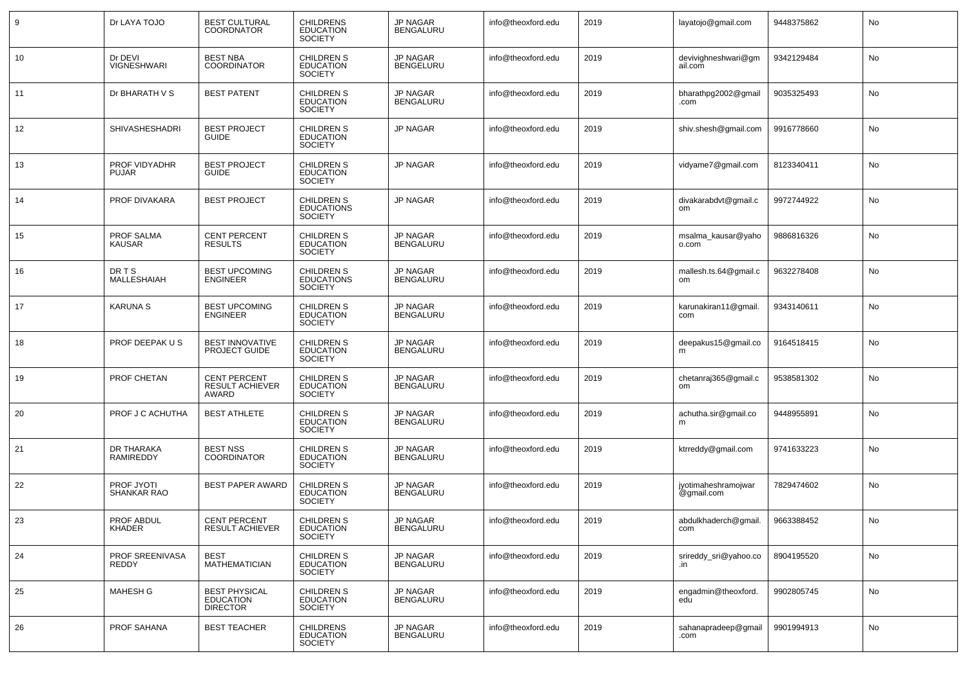| 9  | Dr LAYA TOJO                      | <b>BEST CULTURAL</b><br><b>COORDNATOR</b>                   | <b>CHILDRENS</b><br><b>EDUCATION</b><br><b>SOCIETY</b>   | JP NAGAR<br><b>BENGALURU</b>        | info@theoxford.edu | 2019 | layatojo@gmail.com                | 9448375862 | No |
|----|-----------------------------------|-------------------------------------------------------------|----------------------------------------------------------|-------------------------------------|--------------------|------|-----------------------------------|------------|----|
| 10 | Dr DEVI<br><b>VIGNESHWARI</b>     | <b>BEST NBA</b><br><b>COORDINATOR</b>                       | <b>CHILDREN S</b><br><b>EDUCATION</b><br><b>SOCIETY</b>  | <b>JP NAGAR</b><br><b>BENGELURU</b> | info@theoxford.edu | 2019 | devivighneshwari@gm<br>ail.com    | 9342129484 | No |
| 11 | Dr BHARATH V S                    | <b>BEST PATENT</b>                                          | <b>CHILDREN S</b><br><b>EDUCATION</b><br><b>SOCIETY</b>  | JP NAGAR<br><b>BENGALURU</b>        | info@theoxford.edu | 2019 | bharathpg2002@gmail<br>.com       | 9035325493 | No |
| 12 | <b>SHIVASHESHADRI</b>             | <b>BEST PROJECT</b><br><b>GUIDE</b>                         | <b>CHILDREN S</b><br><b>EDUCATION</b><br><b>SOCIETY</b>  | JP NAGAR                            | info@theoxford.edu | 2019 | shiv.shesh@gmail.com              | 9916778660 | No |
| 13 | PROF VIDYADHR<br><b>PUJAR</b>     | <b>BEST PROJECT</b><br><b>GUIDE</b>                         | <b>CHILDREN S</b><br><b>EDUCATION</b><br><b>SOCIETY</b>  | <b>JP NAGAR</b>                     | info@theoxford.edu | 2019 | vidyame7@gmail.com                | 8123340411 | No |
| 14 | PROF DIVAKARA                     | <b>BEST PROJECT</b>                                         | <b>CHILDREN S</b><br><b>EDUCATIONS</b><br><b>SOCIETY</b> | <b>JP NAGAR</b>                     | info@theoxford.edu | 2019 | divakarabdvt@gmail.c<br>om        | 9972744922 | No |
| 15 | PROF SALMA<br><b>KAUSAR</b>       | <b>CENT PERCENT</b><br><b>RESULTS</b>                       | <b>CHILDREN S</b><br><b>EDUCATION</b><br><b>SOCIETY</b>  | <b>JP NAGAR</b><br><b>BENGALURU</b> | info@theoxford.edu | 2019 | msalma_kausar@yaho<br>o.com       | 9886816326 | No |
| 16 | <b>DRTS</b><br><b>MALLESHAIAH</b> | <b>BEST UPCOMING</b><br><b>ENGINEER</b>                     | <b>CHILDREN S</b><br><b>EDUCATIONS</b><br><b>SOCIETY</b> | <b>JP NAGAR</b><br><b>BENGALURU</b> | info@theoxford.edu | 2019 | mallesh.ts.64@gmail.c<br>om       | 9632278408 | No |
| 17 | <b>KARUNA S</b>                   | <b>BEST UPCOMING</b><br><b>ENGINEER</b>                     | <b>CHILDREN S</b><br><b>EDUCATION</b><br><b>SOCIETY</b>  | JP NAGAR<br><b>BENGALURU</b>        | info@theoxford.edu | 2019 | karunakiran11@gmail.<br>com       | 9343140611 | No |
| 18 | PROF DEEPAK US                    | <b>BEST INNOVATIVE</b><br>PROJECT GUIDE                     | <b>CHILDREN S</b><br><b>EDUCATION</b><br><b>SOCIETY</b>  | JP NAGAR<br><b>BENGALURU</b>        | info@theoxford.edu | 2019 | deepakus15@gmail.co<br>m          | 9164518415 | No |
| 19 | PROF CHETAN                       | <b>CENT PERCENT</b><br><b>RESULT ACHIEVER</b><br>AWARD      | CHILDREN S<br><b>EDUCATION</b><br><b>SOCIETY</b>         | JP NAGAR<br><b>BENGALURU</b>        | info@theoxford.edu | 2019 | chetanraj365@gmail.c<br>om        | 9538581302 | No |
| 20 | PROF J C ACHUTHA                  | <b>BEST ATHLETE</b>                                         | <b>CHILDREN S</b><br><b>EDUCATION</b><br><b>SOCIETY</b>  | JP NAGAR<br><b>BENGALURU</b>        | info@theoxford.edu | 2019 | achutha.sir@gmail.co<br>m         | 9448955891 | No |
| 21 | DR THARAKA<br><b>RAMIREDDY</b>    | <b>BEST NSS</b><br><b>COORDINATOR</b>                       | <b>CHILDREN S</b><br><b>EDUCATION</b><br><b>SOCIETY</b>  | JP NAGAR<br><b>BENGALURU</b>        | info@theoxford.edu | 2019 | ktrreddy@gmail.com                | 9741633223 | No |
| 22 | PROF JYOTI<br>SHANKAR RAO         | <b>BEST PAPER AWARD</b>                                     | <b>CHILDREN S</b><br><b>EDUCATION</b><br><b>SOCIETY</b>  | <b>JP NAGAR</b><br><b>BENGALURU</b> | info@theoxford.edu | 2019 | jyotimaheshramojwar<br>@gmail.com | 7829474602 | No |
| 23 | PROF ABDUL<br>KHADER              | <b>CENT PERCENT</b><br><b>RESULI ACHIEVER</b>               | <b>CHILDREN S</b><br>EDUCATION<br><b>SOCIETY</b>         | <b>JP NAGAR</b><br><b>BENGALURU</b> | info@theoxford.edu | 2019 | abdulkhaderch@gmail.<br>com       | 9663388452 | No |
| 24 | PROF SREENIVASA<br>REDDY          | BEST<br><b>MATHEMATICIAN</b>                                | <b>CHILDREN S</b><br><b>EDUCATION</b><br>SOCIETY         | JP NAGAR<br>BENGALURU               | info@theoxford.edu | 2019 | srireddy_sri@yahoo.co<br>.in      | 8904195520 | No |
| 25 | MAHESH G                          | <b>BEST PHYSICAL</b><br><b>EDUCATION</b><br><b>DIRECTOR</b> | CHILDREN S<br><b>EDUCATION</b><br><b>SOCIETY</b>         | JP NAGAR<br><b>BENGALURU</b>        | info@theoxford.edu | 2019 | engadmin@theoxford.<br>edū        | 9902805745 | No |
| 26 | PROF SAHANA                       | <b>BEST TEACHER</b>                                         | <b>CHILDRENS</b><br><b>EDUCATION</b><br>SOCIETY          | JP NAGAR<br>BENGALURU               | info@theoxford.edu | 2019 | sahanapradeep@gmail<br>.com       | 9901994913 | No |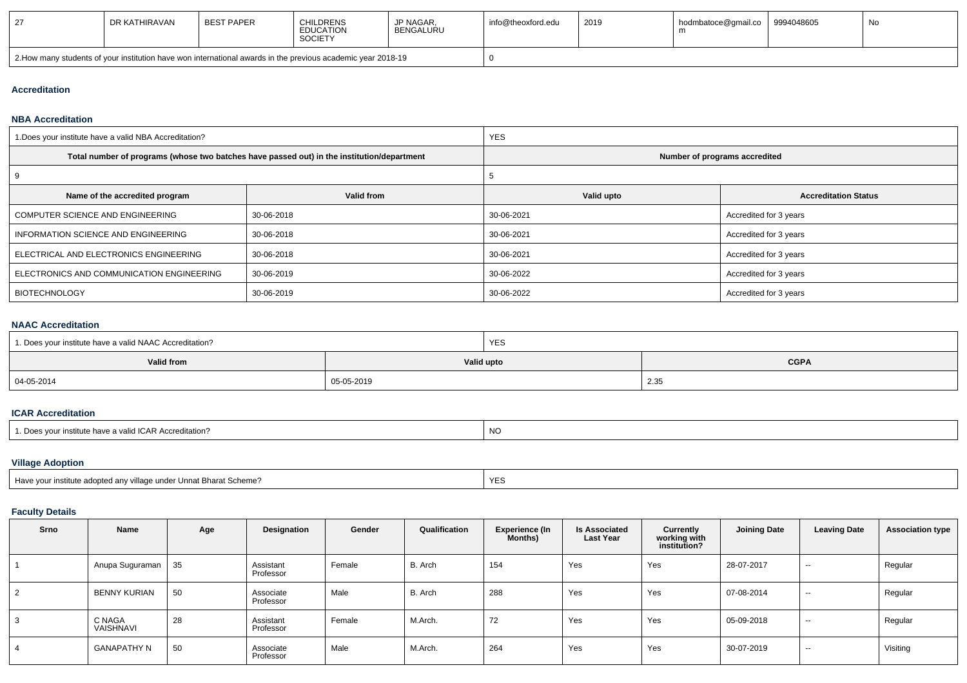|                                                                                                              | DR KATHIRAVAN | <b>BEST PAPER</b> | <b>CHILDRENS</b><br><b>EDUCATION</b><br><b>SOCIETY</b> | <b>JP NAGAR</b><br>BENGALURU | info@theoxford.edu | 2019 | hodmbatoce@gmail.co | 9994048605 | No. |
|--------------------------------------------------------------------------------------------------------------|---------------|-------------------|--------------------------------------------------------|------------------------------|--------------------|------|---------------------|------------|-----|
| 2. How many students of your institution have won international awards in the previous academic year 2018-19 |               |                   |                                                        |                              |                    |      |                     |            |     |

## **Accreditation**

#### **NBA Accreditation**

| 1. Does your institute have a valid NBA Accreditation? |                                                                                            | <b>YES</b>                    |                             |  |  |  |
|--------------------------------------------------------|--------------------------------------------------------------------------------------------|-------------------------------|-----------------------------|--|--|--|
|                                                        | Total number of programs (whose two batches have passed out) in the institution/department | Number of programs accredited |                             |  |  |  |
|                                                        |                                                                                            |                               |                             |  |  |  |
| Name of the accredited program                         | Valid from                                                                                 | Valid upto                    | <b>Accreditation Status</b> |  |  |  |
| COMPUTER SCIENCE AND ENGINEERING                       | 30-06-2018                                                                                 | 30-06-2021                    | Accredited for 3 years      |  |  |  |
| INFORMATION SCIENCE AND ENGINEERING                    | 30-06-2018                                                                                 | 30-06-2021                    | Accredited for 3 years      |  |  |  |
| ELECTRICAL AND ELECTRONICS ENGINEERING                 | 30-06-2018                                                                                 | 30-06-2021                    | Accredited for 3 years      |  |  |  |
| ELECTRONICS AND COMMUNICATION ENGINEERING              | 30-06-2019                                                                                 | 30-06-2022                    | Accredited for 3 years      |  |  |  |
| <b>BIOTECHNOLOGY</b>                                   | 30-06-2019                                                                                 | 30-06-2022                    | Accredited for 3 years      |  |  |  |

### **NAAC Accreditation**

| 1. Does your institute have a valid NAAC Accreditation? |            | <b>YES</b> |             |
|---------------------------------------------------------|------------|------------|-------------|
| <b>Valid from</b>                                       | Valid upto |            | <b>CGPA</b> |
| 04-05-2014                                              | 05-05-2019 |            | 2.35        |

#### **ICAR Accreditation**

| ICAR Accreditation?<br>Do.<br>* institute have.<br>a validi. | 1 Y V |
|--------------------------------------------------------------|-------|
|--------------------------------------------------------------|-------|

# **Village Adoption**

| nstitute adopted any village under Unnat Bharat Scheme? | <b>YES</b> |
|---------------------------------------------------------|------------|
|                                                         |            |

## **Faculty Details**

| Srno       | Name                | Age | Designation            | Gender | Qualification | <b>Experience (In</b><br>Months) | <b>Is Associated</b><br><b>Last Year</b> | Currently<br>working with<br>institution? | Joining Date | <b>Leaving Date</b>      | <b>Association type</b> |
|------------|---------------------|-----|------------------------|--------|---------------|----------------------------------|------------------------------------------|-------------------------------------------|--------------|--------------------------|-------------------------|
|            | Anupa Suguraman     | 35  | Assistant<br>Professor | Female | B. Arch       | 154                              | Yes                                      | Yes                                       | 28-07-2017   | $\sim$                   | Regular                 |
| $\epsilon$ | BENNY KURIAN        | 50  | Associate<br>Professor | Male   | B. Arch       | 288                              | Yes                                      | Yes                                       | 07-08-2014   | $\sim$                   | Regular                 |
|            | C NAGA<br>VAISHNAVI | 28  | Assistant<br>Professor | Female | M.Arch.       | 72                               | Yes                                      | Yes                                       | 05-09-2018   | $\sim$                   | Regular                 |
|            | <b>GANAPATHY N</b>  | 50  | Associate<br>Professor | Male   | M.Arch.       | 264                              | Yes                                      | Yes                                       | 30-07-2019   | $\overline{\phantom{a}}$ | Visiting                |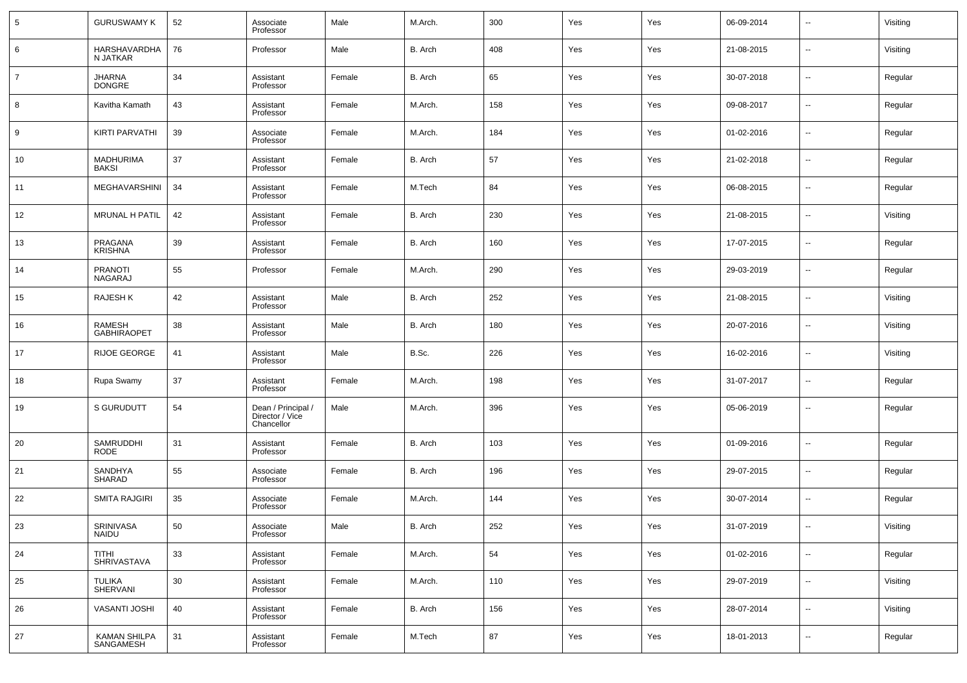| 5              | <b>GURUSWAMY K</b>               | 52 | Associate<br>Professor                              | Male   | M.Arch. | 300 | Yes | Yes | 06-09-2014 | $\sim$                   | Visiting |
|----------------|----------------------------------|----|-----------------------------------------------------|--------|---------|-----|-----|-----|------------|--------------------------|----------|
| 6              | HARSHAVARDHA<br>N JATKAR         | 76 | Professor                                           | Male   | B. Arch | 408 | Yes | Yes | 21-08-2015 | $\sim$                   | Visiting |
| $\overline{7}$ | JHARNA<br>DONGRE                 | 34 | Assistant<br>Professor                              | Female | B. Arch | 65  | Yes | Yes | 30-07-2018 | $\sim$                   | Regular  |
| 8              | Kavitha Kamath                   | 43 | Assistant<br>Professor                              | Female | M.Arch. | 158 | Yes | Yes | 09-08-2017 | $\sim$                   | Regular  |
| 9              | <b>KIRTI PARVATHI</b>            | 39 | Associate<br>Professor                              | Female | M.Arch. | 184 | Yes | Yes | 01-02-2016 | $\overline{\phantom{a}}$ | Regular  |
| 10             | <b>MADHURIMA</b><br><b>BAKSI</b> | 37 | Assistant<br>Professor                              | Female | B. Arch | 57  | Yes | Yes | 21-02-2018 | $\sim$                   | Regular  |
| 11             | <b>MEGHAVARSHINI</b>             | 34 | Assistant<br>Professor                              | Female | M.Tech  | 84  | Yes | Yes | 06-08-2015 | $\sim$                   | Regular  |
| 12             | <b>MRUNAL H PATIL</b>            | 42 | Assistant<br>Professor                              | Female | B. Arch | 230 | Yes | Yes | 21-08-2015 | $\sim$                   | Visiting |
| 13             | PRAGANA<br>KRISHNA               | 39 | Assistant<br>Professor                              | Female | B. Arch | 160 | Yes | Yes | 17-07-2015 | $\sim$                   | Regular  |
| 14             | <b>PRANOTI</b><br>NAGARAJ        | 55 | Professor                                           | Female | M.Arch. | 290 | Yes | Yes | 29-03-2019 | $\sim$                   | Regular  |
| 15             | <b>RAJESHK</b>                   | 42 | Assistant<br>Professor                              | Male   | B. Arch | 252 | Yes | Yes | 21-08-2015 | --                       | Visiting |
| 16             | RAMESH<br><b>GABHIRAOPET</b>     | 38 | Assistant<br>Professor                              | Male   | B. Arch | 180 | Yes | Yes | 20-07-2016 | --                       | Visiting |
| 17             | <b>RIJOE GEORGE</b>              | 41 | Assistant<br>Professor                              | Male   | B.Sc.   | 226 | Yes | Yes | 16-02-2016 | --                       | Visiting |
| 18             | Rupa Swamy                       | 37 | Assistant<br>Professor                              | Female | M.Arch. | 198 | Yes | Yes | 31-07-2017 | --                       | Regular  |
| 19             | S GURUDUTT                       | 54 | Dean / Principal /<br>Director / Vice<br>Chancellor | Male   | M.Arch. | 396 | Yes | Yes | 05-06-2019 | --                       | Regular  |
| 20             | SAMRUDDHI<br><b>RODE</b>         | 31 | Assistant<br>Professor                              | Female | B. Arch | 103 | Yes | Yes | 01-09-2016 | $\overline{a}$           | Regular  |
| 21             | SANDHYA<br><b>SHARAD</b>         | 55 | Associate<br>Professor                              | Female | B. Arch | 196 | Yes | Yes | 29-07-2015 | $\overline{\phantom{a}}$ | Regular  |
| 22             | <b>SMITA RAJGIRI</b>             | 35 | Associate<br>Professor                              | Female | M.Arch. | 144 | Yes | Yes | 30-07-2014 | $\sim$                   | Regular  |
| 23             | SRINIVASA<br><b>NAIDU</b>        | 50 | Associate<br>Professor                              | Male   | B. Arch | 252 | Yes | Yes | 31-07-2019 |                          | Visiting |
| 24             | TITHI<br>SHRIVASTAVA             | 33 | Assistant<br>Professor                              | Female | M.Arch. | 54  | Yes | Yes | 01-02-2016 | u,                       | Regular  |
| 25             | TULIKA<br>SHERVANI               | 30 | Assistant<br>Professor                              | Female | M.Arch. | 110 | Yes | Yes | 29-07-2019 | u,                       | Visiting |
| 26             | VASANTI JOSHI                    | 40 | Assistant<br>Professor                              | Female | B. Arch | 156 | Yes | Yes | 28-07-2014 | $\overline{\phantom{a}}$ | Visiting |
| 27             | KAMAN SHILPA<br>SANGAMESH        | 31 | Assistant<br>Professor                              | Female | M.Tech  | 87  | Yes | Yes | 18-01-2013 | $\overline{\phantom{a}}$ | Regular  |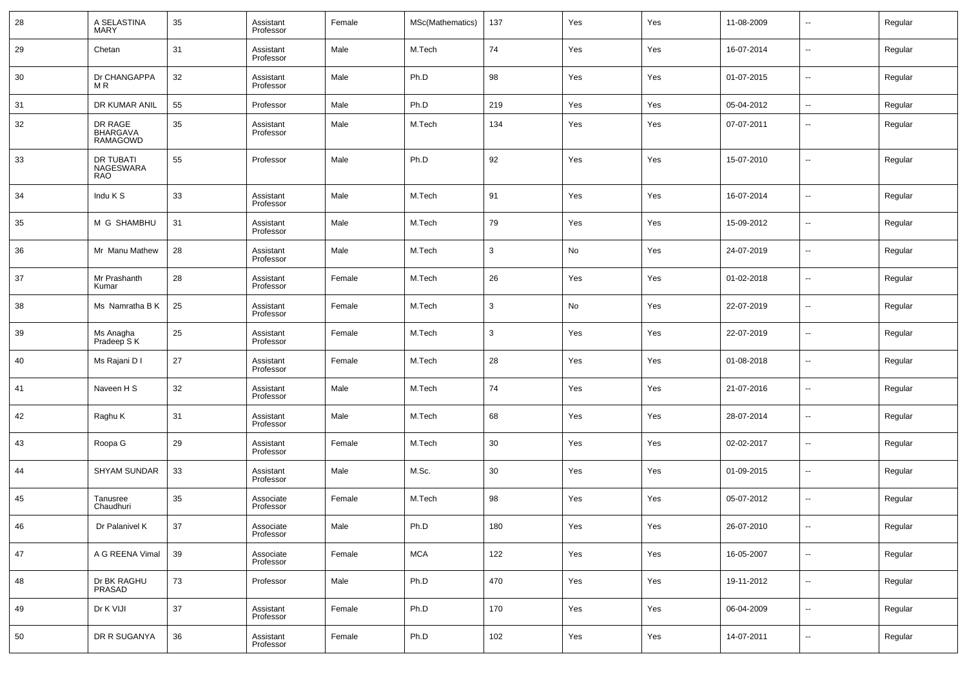| 28 | A SELASTINA<br><b>MARY</b>                    | 35 | Assistant<br>Professor | Female | MSc(Mathematics) | 137 | Yes | Yes | 11-08-2009 | $\sim$                   | Regular |
|----|-----------------------------------------------|----|------------------------|--------|------------------|-----|-----|-----|------------|--------------------------|---------|
| 29 | Chetan                                        | 31 | Assistant<br>Professor | Male   | M.Tech           | 74  | Yes | Yes | 16-07-2014 | $\sim$                   | Regular |
| 30 | Dr CHANGAPPA<br>M <sub>R</sub>                | 32 | Assistant<br>Professor | Male   | Ph.D             | 98  | Yes | Yes | 01-07-2015 | $\sim$                   | Regular |
| 31 | DR KUMAR ANIL                                 | 55 | Professor              | Male   | Ph.D             | 219 | Yes | Yes | 05-04-2012 | $\sim$                   | Regular |
| 32 | DR RAGE<br><b>BHARGAVA</b><br><b>RAMAGOWD</b> | 35 | Assistant<br>Professor | Male   | M.Tech           | 134 | Yes | Yes | 07-07-2011 | --                       | Regular |
| 33 | DR TUBATI<br>NAGESWARA<br><b>RAO</b>          | 55 | Professor              | Male   | Ph.D             | 92  | Yes | Yes | 15-07-2010 | ⊷                        | Regular |
| 34 | Indu K S                                      | 33 | Assistant<br>Professor | Male   | M.Tech           | 91  | Yes | Yes | 16-07-2014 | -−                       | Regular |
| 35 | M G SHAMBHU                                   | 31 | Assistant<br>Professor | Male   | M.Tech           | 79  | Yes | Yes | 15-09-2012 | --                       | Regular |
| 36 | Mr Manu Mathew                                | 28 | Assistant<br>Professor | Male   | M.Tech           | 3   | No  | Yes | 24-07-2019 | $\overline{\phantom{a}}$ | Regular |
| 37 | Mr Prashanth<br>Kumar                         | 28 | Assistant<br>Professor | Female | M.Tech           | 26  | Yes | Yes | 01-02-2018 | --                       | Regular |
| 38 | Ms Namratha B K                               | 25 | Assistant<br>Professor | Female | M.Tech           | 3   | No  | Yes | 22-07-2019 | $\overline{\phantom{a}}$ | Regular |
| 39 | Ms Anagha<br>Pradeep S K                      | 25 | Assistant<br>Professor | Female | M.Tech           | 3   | Yes | Yes | 22-07-2019 | --                       | Regular |
| 40 | Ms Rajani D I                                 | 27 | Assistant<br>Professor | Female | M.Tech           | 28  | Yes | Yes | 01-08-2018 | ⊷                        | Regular |
| 41 | Naveen H S                                    | 32 | Assistant<br>Professor | Male   | M.Tech           | 74  | Yes | Yes | 21-07-2016 | ⊷                        | Regular |
| 42 | Raghu K                                       | 31 | Assistant<br>Professor | Male   | M.Tech           | 68  | Yes | Yes | 28-07-2014 | ⊷                        | Regular |
| 43 | Roopa G                                       | 29 | Assistant<br>Professor | Female | M.Tech           | 30  | Yes | Yes | 02-02-2017 | ⊷                        | Regular |
| 44 | <b>SHYAM SUNDAR</b>                           | 33 | Assistant<br>Professor | Male   | M.Sc.            | 30  | Yes | Yes | 01-09-2015 | ⊷                        | Regular |
| 45 | Tanusree<br>Chaudhuri                         | 35 | Associate<br>Professor | Female | M.Tech           | 98  | Yes | Yes | 05-07-2012 | ⊷                        | Regular |
| 46 | Dr Palanivel K                                | 37 | Associate<br>Professor | Male   | Ph.D             | 180 | Yes | Yes | 26-07-2010 |                          | Regular |
| 47 | A G REENA Vimal                               | 39 | Associate<br>Professor | Female | MCA              | 122 | Yes | Yes | 16-05-2007 | ц.                       | Regular |
| 48 | Dr BK RAGHU<br>PRASAD                         | 73 | Professor              | Male   | Ph.D             | 470 | Yes | Yes | 19-11-2012 | щ.                       | Regular |
| 49 | Dr K VIJI                                     | 37 | Assistant<br>Professor | Female | Ph.D             | 170 | Yes | Yes | 06-04-2009 | н.                       | Regular |
| 50 | DR R SUGANYA                                  | 36 | Assistant<br>Professor | Female | Ph.D             | 102 | Yes | Yes | 14-07-2011 | щ.                       | Regular |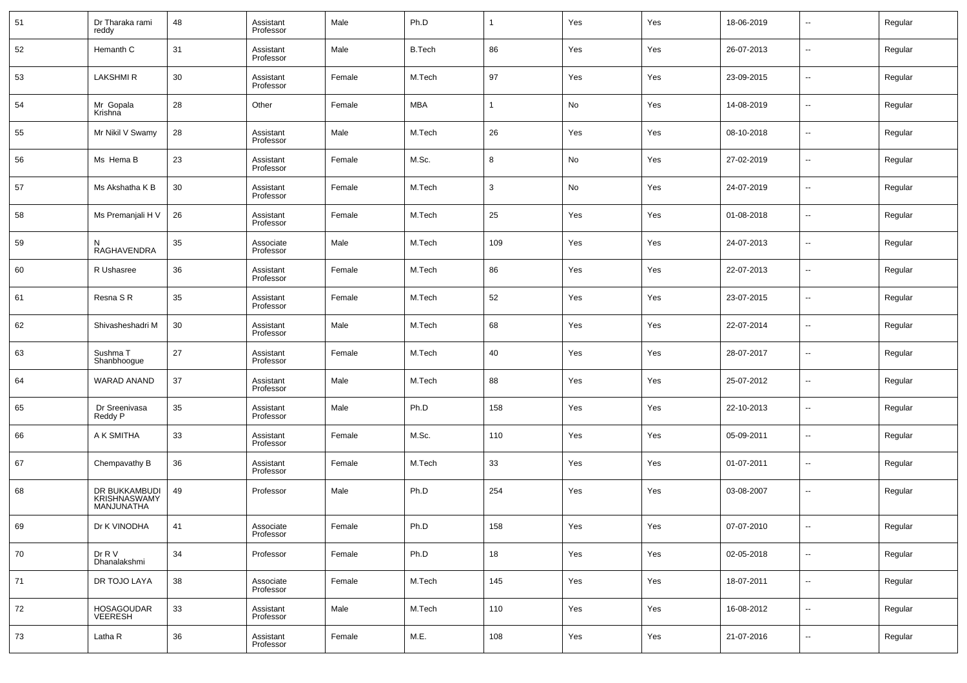| 51 | Dr Tharaka rami<br>reddy                    | 48 | Assistant<br>Professor | Male   | Ph.D          |              | Yes | Yes | 18-06-2019 | $\overline{\phantom{a}}$ | Regular |
|----|---------------------------------------------|----|------------------------|--------|---------------|--------------|-----|-----|------------|--------------------------|---------|
| 52 | Hemanth C                                   | 31 | Assistant<br>Professor | Male   | <b>B.Tech</b> | 86           | Yes | Yes | 26-07-2013 | $\overline{\phantom{a}}$ | Regular |
| 53 | <b>LAKSHMIR</b>                             | 30 | Assistant<br>Professor | Female | M.Tech        | 97           | Yes | Yes | 23-09-2015 | $\sim$                   | Regular |
| 54 | Mr Gopala<br>Krishna                        | 28 | Other                  | Female | MBA           |              | No  | Yes | 14-08-2019 | ⊶.                       | Regular |
| 55 | Mr Nikil V Swamy                            | 28 | Assistant<br>Professor | Male   | M.Tech        | 26           | Yes | Yes | 08-10-2018 | $\sim$                   | Regular |
| 56 | Ms Hema B                                   | 23 | Assistant<br>Professor | Female | M.Sc.         | 8            | No  | Yes | 27-02-2019 | $\overline{\phantom{a}}$ | Regular |
| 57 | Ms Akshatha K B                             | 30 | Assistant<br>Professor | Female | M.Tech        | $\mathbf{3}$ | No  | Yes | 24-07-2019 | $\overline{\phantom{a}}$ | Regular |
| 58 | Ms Premanjali H V                           | 26 | Assistant<br>Professor | Female | M.Tech        | 25           | Yes | Yes | 01-08-2018 | ⊶.                       | Regular |
| 59 | N<br>RAGHAVENDRA                            | 35 | Associate<br>Professor | Male   | M.Tech        | 109          | Yes | Yes | 24-07-2013 | $\overline{\phantom{a}}$ | Regular |
| 60 | R Ushasree                                  | 36 | Assistant<br>Professor | Female | M.Tech        | 86           | Yes | Yes | 22-07-2013 | $\sim$                   | Regular |
| 61 | Resna SR                                    | 35 | Assistant<br>Professor | Female | M.Tech        | 52           | Yes | Yes | 23-07-2015 | $\overline{\phantom{a}}$ | Regular |
| 62 | Shivasheshadri M                            | 30 | Assistant<br>Professor | Male   | M.Tech        | 68           | Yes | Yes | 22-07-2014 | ⊶.                       | Regular |
| 63 | Sushma T<br>Shanbhoogue                     | 27 | Assistant<br>Professor | Female | M.Tech        | 40           | Yes | Yes | 28-07-2017 | $\overline{\phantom{a}}$ | Regular |
| 64 | WARAD ANAND                                 | 37 | Assistant<br>Professor | Male   | M.Tech        | 88           | Yes | Yes | 25-07-2012 | $\overline{\phantom{a}}$ | Regular |
| 65 | Dr Sreenivasa<br>Reddy P                    | 35 | Assistant<br>Professor | Male   | Ph.D          | 158          | Yes | Yes | 22-10-2013 | $\overline{\phantom{a}}$ | Regular |
| 66 | A K SMITHA                                  | 33 | Assistant<br>Professor | Female | M.Sc.         | 110          | Yes | Yes | 05-09-2011 | $\overline{\phantom{a}}$ | Regular |
| 67 | Chempavathy B                               | 36 | Assistant<br>Professor | Female | M.Tech        | 33           | Yes | Yes | 01-07-2011 | $\overline{\phantom{a}}$ | Regular |
| 68 | DR BUKKAMBUDI<br>KRISHNASWAMY<br>MANJUNATHA | 49 | Professor              | Male   | Ph.D          | 254          | Yes | Yes | 03-08-2007 | $\overline{\phantom{a}}$ | Regular |
| 69 | Dr K VINODHA                                | 41 | Associate<br>Professor | Female | Ph.D          | 158          | Yes | Yes | 07-07-2010 |                          | Regular |
| 70 | Dr R V<br>Dhanalakshmi                      | 34 | Professor              | Female | Ph.D          | 18           | Yes | Yes | 02-05-2018 | $\overline{\phantom{a}}$ | Regular |
| 71 | DR TOJO LAYA                                | 38 | Associate<br>Professor | Female | M.Tech        | 145          | Yes | Yes | 18-07-2011 | $\overline{\phantom{a}}$ | Regular |
| 72 | HOSAGOUDAR<br>VEERESH                       | 33 | Assistant<br>Professor | Male   | M.Tech        | 110          | Yes | Yes | 16-08-2012 | $\overline{\phantom{a}}$ | Regular |
| 73 | Latha R                                     | 36 | Assistant<br>Professor | Female | M.E.          | 108          | Yes | Yes | 21-07-2016 | $\sim$                   | Regular |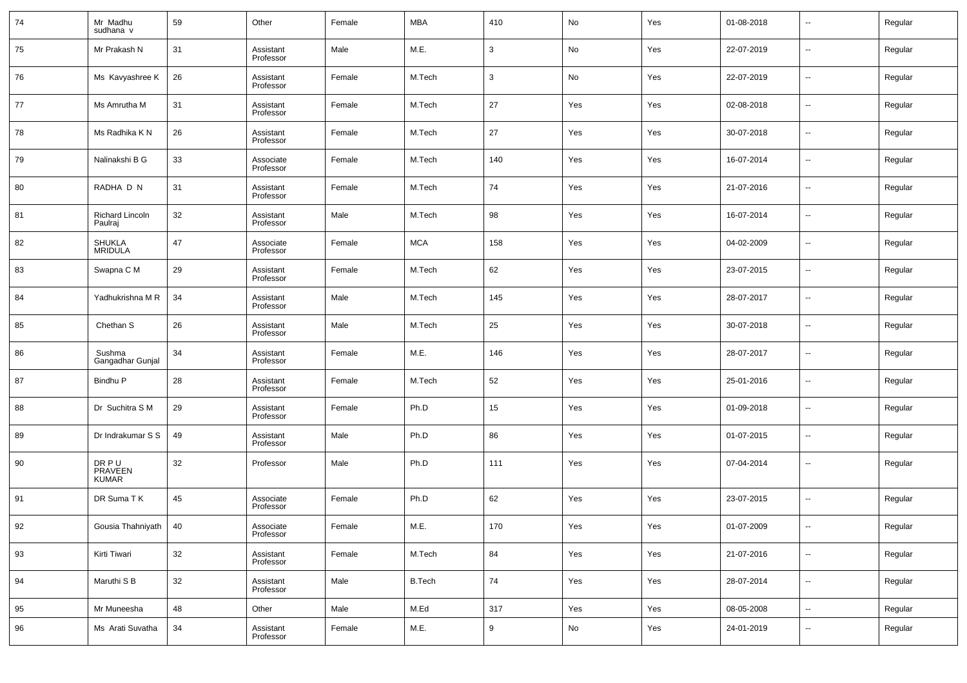| 74 | Mr Madhu<br>sudhana v                   | 59 | Other                  | Female | <b>MBA</b>    | 410          | No  | Yes | 01-08-2018 | $\sim$                   | Regular |
|----|-----------------------------------------|----|------------------------|--------|---------------|--------------|-----|-----|------------|--------------------------|---------|
| 75 | Mr Prakash N                            | 31 | Assistant<br>Professor | Male   | M.E.          | $\mathbf{3}$ | No  | Yes | 22-07-2019 | $\sim$                   | Regular |
| 76 | Ms Kavyashree K                         | 26 | Assistant<br>Professor | Female | M.Tech        | $\mathbf{3}$ | No  | Yes | 22-07-2019 | $\sim$                   | Regular |
| 77 | Ms Amrutha M                            | 31 | Assistant<br>Professor | Female | M.Tech        | 27           | Yes | Yes | 02-08-2018 | $\sim$                   | Regular |
| 78 | Ms Radhika K N                          | 26 | Assistant<br>Professor | Female | M.Tech        | 27           | Yes | Yes | 30-07-2018 | $\sim$                   | Regular |
| 79 | Nalinakshi B G                          | 33 | Associate<br>Professor | Female | M.Tech        | 140          | Yes | Yes | 16-07-2014 | $\sim$                   | Regular |
| 80 | RADHA D N                               | 31 | Assistant<br>Professor | Female | M.Tech        | 74           | Yes | Yes | 21-07-2016 | $\sim$                   | Regular |
| 81 | <b>Richard Lincoln</b><br>Paulraj       | 32 | Assistant<br>Professor | Male   | M.Tech        | 98           | Yes | Yes | 16-07-2014 | $\sim$                   | Regular |
| 82 | <b>SHUKLA</b><br><b>MRIDULA</b>         | 47 | Associate<br>Professor | Female | <b>MCA</b>    | 158          | Yes | Yes | 04-02-2009 | $\sim$                   | Regular |
| 83 | Swapna C M                              | 29 | Assistant<br>Professor | Female | M.Tech        | 62           | Yes | Yes | 23-07-2015 | н.                       | Regular |
| 84 | Yadhukrishna M R                        | 34 | Assistant<br>Professor | Male   | M.Tech        | 145          | Yes | Yes | 28-07-2017 | $\sim$                   | Regular |
| 85 | Chethan S                               | 26 | Assistant<br>Professor | Male   | M.Tech        | 25           | Yes | Yes | 30-07-2018 | н.                       | Regular |
| 86 | Sushma<br>Gangadhar Gunjal              | 34 | Assistant<br>Professor | Female | M.E.          | 146          | Yes | Yes | 28-07-2017 | $\sim$                   | Regular |
| 87 | Bindhu P                                | 28 | Assistant<br>Professor | Female | M.Tech        | 52           | Yes | Yes | 25-01-2016 | ⊶.                       | Regular |
| 88 | Dr Suchitra S M                         | 29 | Assistant<br>Professor | Female | Ph.D          | 15           | Yes | Yes | 01-09-2018 | $\overline{\phantom{a}}$ | Regular |
| 89 | Dr Indrakumar S S                       | 49 | Assistant<br>Professor | Male   | Ph.D          | 86           | Yes | Yes | 01-07-2015 | ⊶.                       | Regular |
| 90 | DR PU<br><b>PRAVEEN</b><br><b>KUMAR</b> | 32 | Professor              | Male   | Ph.D          | 111          | Yes | Yes | 07-04-2014 | $\overline{\phantom{a}}$ | Regular |
| 91 | DR Suma TK                              | 45 | Associate<br>Professor | Female | Ph.D          | 62           | Yes | Yes | 23-07-2015 | $\overline{\phantom{a}}$ | Regular |
| 92 | Gousia Thahniyath                       | 40 | Associate<br>Professor | Female | M.E.          | 170          | Yes | Yes | 01-07-2009 |                          | Regular |
| 93 | Kirti Tiwari                            | 32 | Assistant<br>Professor | Female | M.Tech        | 84           | Yes | Yes | 21-07-2016 | $\overline{\phantom{a}}$ | Regular |
| 94 | Maruthi S B                             | 32 | Assistant<br>Professor | Male   | <b>B.Tech</b> | 74           | Yes | Yes | 28-07-2014 | $\overline{\phantom{a}}$ | Regular |
| 95 | Mr Muneesha                             | 48 | Other                  | Male   | M.Ed          | 317          | Yes | Yes | 08-05-2008 | $\overline{\phantom{a}}$ | Regular |
| 96 | Ms Arati Suvatha                        | 34 | Assistant<br>Professor | Female | M.E.          | 9            | No  | Yes | 24-01-2019 | $\overline{\phantom{a}}$ | Regular |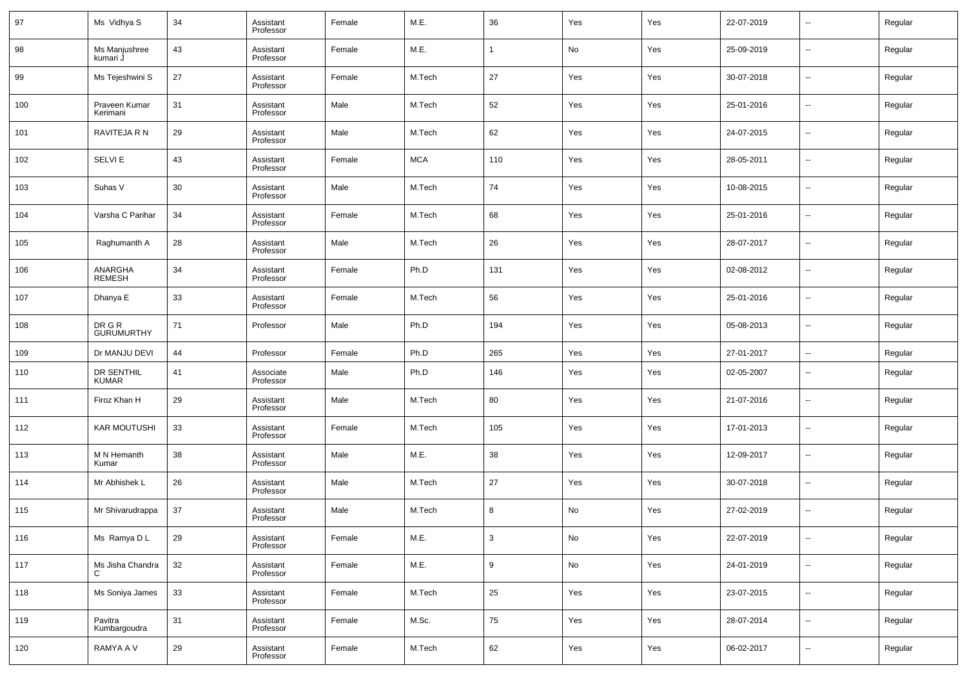| 97  | Ms Vidhya S                 | 34 | Assistant<br>Professor | Female | M.E.       | 36           | Yes        | Yes | 22-07-2019 | $\overline{\phantom{a}}$ | Regular |
|-----|-----------------------------|----|------------------------|--------|------------|--------------|------------|-----|------------|--------------------------|---------|
| 98  | Ms Manjushree<br>kumari J   | 43 | Assistant<br>Professor | Female | M.E.       | $\mathbf{1}$ | No         | Yes | 25-09-2019 | --                       | Regular |
| 99  | Ms Tejeshwini S             | 27 | Assistant<br>Professor | Female | M.Tech     | 27           | Yes        | Yes | 30-07-2018 | $\overline{\phantom{a}}$ | Regular |
| 100 | Praveen Kumar<br>Kerimani   | 31 | Assistant<br>Professor | Male   | M.Tech     | 52           | Yes        | Yes | 25-01-2016 | $\sim$                   | Regular |
| 101 | RAVITEJA R N                | 29 | Assistant<br>Professor | Male   | M.Tech     | 62           | Yes        | Yes | 24-07-2015 | ш.                       | Regular |
| 102 | <b>SELVIE</b>               | 43 | Assistant<br>Professor | Female | <b>MCA</b> | 110          | Yes        | Yes | 28-05-2011 | $\overline{\phantom{a}}$ | Regular |
| 103 | Suhas V                     | 30 | Assistant<br>Professor | Male   | M.Tech     | 74           | Yes        | Yes | 10-08-2015 | ш.                       | Regular |
| 104 | Varsha C Parihar            | 34 | Assistant<br>Professor | Female | M.Tech     | 68           | Yes        | Yes | 25-01-2016 | $\overline{\phantom{a}}$ | Regular |
| 105 | Raghumanth A                | 28 | Assistant<br>Professor | Male   | M.Tech     | 26           | Yes        | Yes | 28-07-2017 | ш.                       | Regular |
| 106 | ANARGHA<br><b>REMESH</b>    | 34 | Assistant<br>Professor | Female | Ph.D       | 131          | Yes        | Yes | 02-08-2012 | $\overline{\phantom{a}}$ | Regular |
| 107 | Dhanya E                    | 33 | Assistant<br>Professor | Female | M.Tech     | 56           | Yes        | Yes | 25-01-2016 | --                       | Regular |
| 108 | DR G R<br><b>GURUMURTHY</b> | 71 | Professor              | Male   | Ph.D       | 194          | Yes        | Yes | 05-08-2013 | ш,                       | Regular |
| 109 | Dr MANJU DEVI               | 44 | Professor              | Female | Ph.D       | 265          | Yes        | Yes | 27-01-2017 | $\overline{\phantom{a}}$ | Regular |
| 110 | DR SENTHIL<br><b>KUMAR</b>  | 41 | Associate<br>Professor | Male   | Ph.D       | 146          | Yes        | Yes | 02-05-2007 | $\sim$                   | Regular |
| 111 | Firoz Khan H                | 29 | Assistant<br>Professor | Male   | M.Tech     | 80           | Yes        | Yes | 21-07-2016 | $\sim$                   | Regular |
| 112 | <b>KAR MOUTUSHI</b>         | 33 | Assistant<br>Professor | Female | M.Tech     | 105          | Yes        | Yes | 17-01-2013 | $\sim$                   | Regular |
| 113 | M N Hemanth<br>Kumar        | 38 | Assistant<br>Professor | Male   | M.E.       | 38           | Yes        | Yes | 12-09-2017 | $\sim$                   | Regular |
| 114 | Mr Abhishek L               | 26 | Assistant<br>Professor | Male   | M.Tech     | 27           | Yes        | Yes | 30-07-2018 | $\sim$                   | Regular |
| 115 | Mr Shivarudrappa            | 37 | Assistant<br>Professor | Male   | M.Tech     | 8            | No         | Yes | 27-02-2019 | --                       | Regular |
| 116 | Ms Ramya D L                | 29 | Assistant<br>Professor | Female | M.E.       | $\mathsf 3$  | ${\sf No}$ | Yes | 22-07-2019 | $\sim$                   | Regular |
| 117 | Ms Jisha Chandra            | 32 | Assistant<br>Professor | Female | M.E.       | 9            | No         | Yes | 24-01-2019 | $\sim$                   | Regular |
| 118 | Ms Soniya James             | 33 | Assistant<br>Professor | Female | M.Tech     | 25           | Yes        | Yes | 23-07-2015 | $\sim$                   | Regular |
| 119 | Pavitra<br>Kumbargoudra     | 31 | Assistant<br>Professor | Female | M.Sc.      | 75           | Yes        | Yes | 28-07-2014 | $\sim$                   | Regular |
| 120 | RAMYA A V                   | 29 | Assistant<br>Professor | Female | M.Tech     | 62           | Yes        | Yes | 06-02-2017 | $\sim$                   | Regular |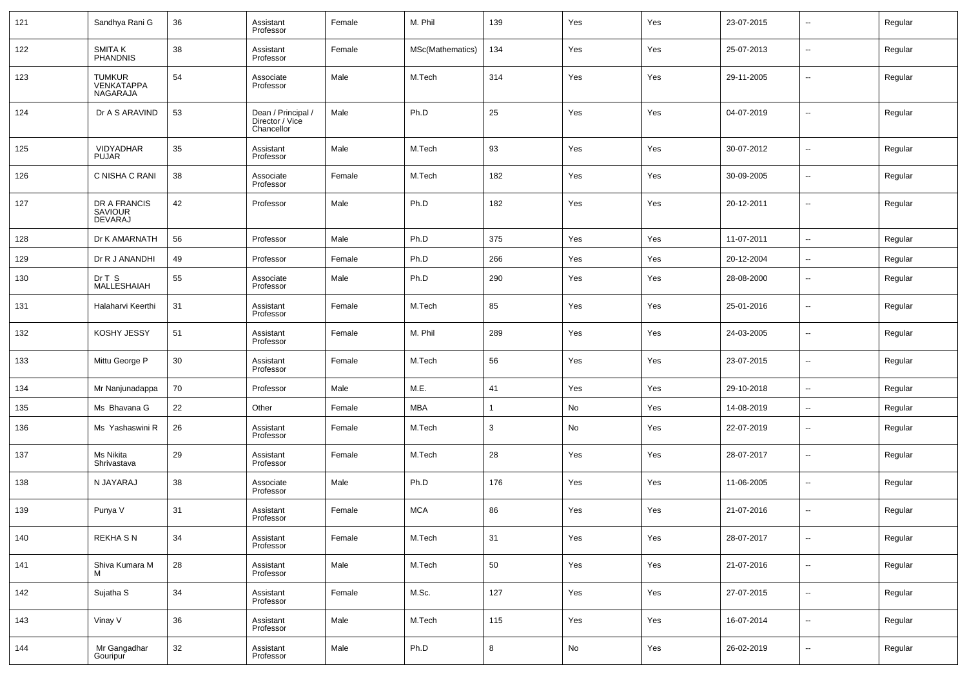| 121 | Sandhya Rani G                                 | 36 | Assistant<br>Professor                              | Female | M. Phil          | 139 | Yes                          | Yes | 23-07-2015 | $\overline{\phantom{a}}$ | Regular |
|-----|------------------------------------------------|----|-----------------------------------------------------|--------|------------------|-----|------------------------------|-----|------------|--------------------------|---------|
| 122 | SMITA K<br>PHANDNIS                            | 38 | Assistant<br>Professor                              | Female | MSc(Mathematics) | 134 | Yes                          | Yes | 25-07-2013 | $\overline{\phantom{a}}$ | Regular |
| 123 | <b>TUMKUR</b><br><b>VENKATAPPA</b><br>NAGARAJA | 54 | Associate<br>Professor                              | Male   | M.Tech           | 314 | Yes                          | Yes | 29-11-2005 | $\overline{\phantom{a}}$ | Regular |
| 124 | Dr A S ARAVIND                                 | 53 | Dean / Principal /<br>Director / Vice<br>Chancellor | Male   | Ph.D             | 25  | Yes                          | Yes | 04-07-2019 | $\ddotsc$                | Regular |
| 125 | VIDYADHAR<br><b>PUJAR</b>                      | 35 | Assistant<br>Professor                              | Male   | M.Tech           | 93  | Yes                          | Yes | 30-07-2012 | --                       | Regular |
| 126 | C NISHA C RANI                                 | 38 | Associate<br>Professor                              | Female | M.Tech           | 182 | Yes                          | Yes | 30-09-2005 | $\overline{\phantom{a}}$ | Regular |
| 127 | DR A FRANCIS<br>SAVIOUR<br>DEVARAJ             | 42 | Professor                                           | Male   | Ph.D             | 182 | Yes                          | Yes | 20-12-2011 | --                       | Regular |
| 128 | Dr K AMARNATH                                  | 56 | Professor                                           | Male   | Ph.D             | 375 | Yes                          | Yes | 11-07-2011 | $\overline{\phantom{a}}$ | Regular |
| 129 | Dr R J ANANDHI                                 | 49 | Professor                                           | Female | Ph.D             | 266 | Yes                          | Yes | 20-12-2004 | $\overline{\phantom{a}}$ | Regular |
| 130 | Dr T S<br>MALLESHAIAH                          | 55 | Associate<br>Professor                              | Male   | Ph.D             | 290 | Yes                          | Yes | 28-08-2000 | $\overline{\phantom{a}}$ | Regular |
| 131 | Halaharvi Keerthi                              | 31 | Assistant<br>Professor                              | Female | M.Tech           | 85  | Yes                          | Yes | 25-01-2016 | $\overline{\phantom{a}}$ | Regular |
| 132 | KOSHY JESSY                                    | 51 | Assistant<br>Professor                              | Female | M. Phil          | 289 | Yes                          | Yes | 24-03-2005 | $\overline{\phantom{a}}$ | Regular |
| 133 | Mittu George P                                 | 30 | Assistant<br>Professor                              | Female | M.Tech           | 56  | Yes                          | Yes | 23-07-2015 | $\overline{\phantom{a}}$ | Regular |
| 134 | Mr Nanjunadappa                                | 70 | Professor                                           | Male   | M.E.             | 41  | Yes                          | Yes | 29-10-2018 | $\overline{\phantom{a}}$ | Regular |
| 135 | Ms Bhavana G                                   | 22 | Other                                               | Female | MBA              | 1   | No                           | Yes | 14-08-2019 | $\overline{\phantom{a}}$ | Regular |
| 136 | Ms Yashaswini R                                | 26 | Assistant<br>Professor                              | Female | M.Tech           | 3   | No                           | Yes | 22-07-2019 | $\overline{\phantom{a}}$ | Regular |
| 137 | Ms Nikita<br>Shrivastava                       | 29 | Assistant<br>Professor                              | Female | M.Tech           | 28  | Yes                          | Yes | 28-07-2017 | $\overline{\phantom{a}}$ | Regular |
| 138 | N JAYARAJ                                      | 38 | Associate<br>Professor                              | Male   | Ph.D             | 176 | Yes                          | Yes | 11-06-2005 | $\overline{\phantom{a}}$ | Regular |
| 139 | Punya V                                        | 31 | Assistant<br>Professor                              | Female | <b>MCA</b>       | 86  | Yes                          | Yes | 21-07-2016 | $\overline{\phantom{a}}$ | Regular |
| 140 | <b>REKHASN</b>                                 | 34 | Assistant<br>Professor                              | Female | M.Tech           | 31  | Yes                          | Yes | 28-07-2017 | $\overline{\phantom{a}}$ | Regular |
| 141 | Shiva Kumara M<br>м                            | 28 | Assistant<br>Professor                              | Male   | M.Tech           | 50  | Yes                          | Yes | 21-07-2016 | $\overline{\phantom{a}}$ | Regular |
| 142 | Sujatha S                                      | 34 | Assistant<br>Professor                              | Female | M.Sc.            | 127 | Yes                          | Yes | 27-07-2015 | $\overline{\phantom{a}}$ | Regular |
| 143 | Vinay V                                        | 36 | Assistant<br>Professor                              | Male   | M.Tech           | 115 | Yes                          | Yes | 16-07-2014 | $\overline{\phantom{a}}$ | Regular |
| 144 | Mr Gangadhar<br>Gouripur                       | 32 | Assistant<br>Professor                              | Male   | Ph.D             | 8   | $\operatorname{\mathsf{No}}$ | Yes | 26-02-2019 | $\overline{\phantom{a}}$ | Regular |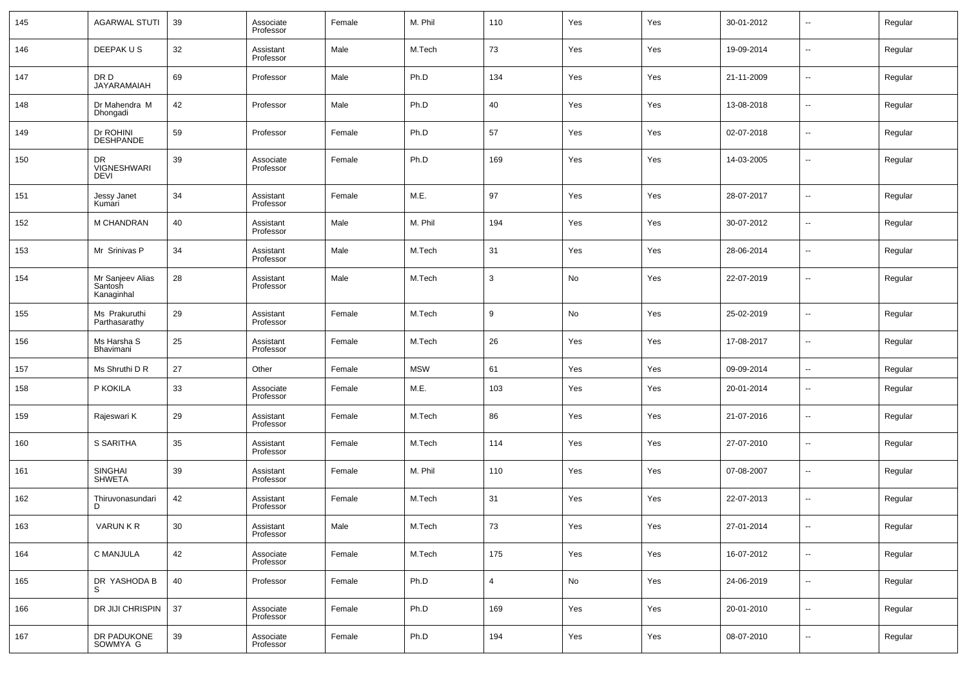| 145 | <b>AGARWAL STUTI</b>                      | 39 | Associate<br>Professor | Female | M. Phil    | 110            | Yes | Yes | 30-01-2012 | $\overline{\phantom{a}}$ | Regular |
|-----|-------------------------------------------|----|------------------------|--------|------------|----------------|-----|-----|------------|--------------------------|---------|
| 146 | DEEPAK US                                 | 32 | Assistant<br>Professor | Male   | M.Tech     | 73             | Yes | Yes | 19-09-2014 | н.                       | Regular |
| 147 | DR D<br><b>JAYARAMAIAH</b>                | 69 | Professor              | Male   | Ph.D       | 134            | Yes | Yes | 21-11-2009 | н.                       | Regular |
| 148 | Dr Mahendra M<br>Dhongadi                 | 42 | Professor              | Male   | Ph.D       | 40             | Yes | Yes | 13-08-2018 | н.                       | Regular |
| 149 | Dr ROHINI<br>DESHPANDE                    | 59 | Professor              | Female | Ph.D       | 57             | Yes | Yes | 02-07-2018 | $\sim$                   | Regular |
| 150 | DR<br><b>VIGNESHWARI</b><br>DEVI          | 39 | Associate<br>Professor | Female | Ph.D       | 169            | Yes | Yes | 14-03-2005 | ⊷                        | Regular |
| 151 | Jessy Janet<br>Kumari                     | 34 | Assistant<br>Professor | Female | M.E.       | 97             | Yes | Yes | 28-07-2017 | -−                       | Regular |
| 152 | M CHANDRAN                                | 40 | Assistant<br>Professor | Male   | M. Phil    | 194            | Yes | Yes | 30-07-2012 | $\overline{\phantom{a}}$ | Regular |
| 153 | Mr Srinivas P                             | 34 | Assistant<br>Professor | Male   | M.Tech     | 31             | Yes | Yes | 28-06-2014 | -−                       | Regular |
| 154 | Mr Sanjeev Alias<br>Santosh<br>Kanaginhal | 28 | Assistant<br>Professor | Male   | M.Tech     | 3              | No  | Yes | 22-07-2019 | $\overline{\phantom{a}}$ | Regular |
| 155 | Ms Prakuruthi<br>Parthasarathy            | 29 | Assistant<br>Professor | Female | M.Tech     | 9              | No  | Yes | 25-02-2019 | -−                       | Regular |
| 156 | Ms Harsha S<br>Bhavimani                  | 25 | Assistant<br>Professor | Female | M.Tech     | 26             | Yes | Yes | 17-08-2017 | ٠.                       | Regular |
| 157 | Ms Shruthi D R                            | 27 | Other                  | Female | <b>MSW</b> | 61             | Yes | Yes | 09-09-2014 | ш.                       | Regular |
| 158 | P KOKILA                                  | 33 | Associate<br>Professor | Female | M.E.       | 103            | Yes | Yes | 20-01-2014 | н.                       | Regular |
| 159 | Rajeswari K                               | 29 | Assistant<br>Professor | Female | M.Tech     | 86             | Yes | Yes | 21-07-2016 | $\overline{\phantom{a}}$ | Regular |
| 160 | S SARITHA                                 | 35 | Assistant<br>Professor | Female | M.Tech     | 114            | Yes | Yes | 27-07-2010 | н.                       | Regular |
| 161 | SINGHAI<br>SHWETA                         | 39 | Assistant<br>Professor | Female | M. Phil    | 110            | Yes | Yes | 07-08-2007 | $\overline{\phantom{a}}$ | Regular |
| 162 | Thiruvonasundari<br>D                     | 42 | Assistant<br>Professor | Female | M.Tech     | 31             | Yes | Yes | 22-07-2013 | н.                       | Regular |
| 163 | VARUN K R                                 | 30 | Assistant<br>Professor | Male   | M.Tech     | 73             | Yes | Yes | 27-01-2014 |                          | Regular |
| 164 | C MANJULA                                 | 42 | Associate<br>Professor | Female | M.Tech     | 175            | Yes | Yes | 16-07-2012 | н.                       | Regular |
| 165 | DR YASHODA B<br>S                         | 40 | Professor              | Female | Ph.D       | $\overline{4}$ | No  | Yes | 24-06-2019 | щ.                       | Regular |
| 166 | DR JIJI CHRISPIN                          | 37 | Associate<br>Professor | Female | Ph.D       | 169            | Yes | Yes | 20-01-2010 | $\sim$                   | Regular |
| 167 | DR PADUKONE<br>SOWMYA G                   | 39 | Associate<br>Professor | Female | Ph.D       | 194            | Yes | Yes | 08-07-2010 | ⊷                        | Regular |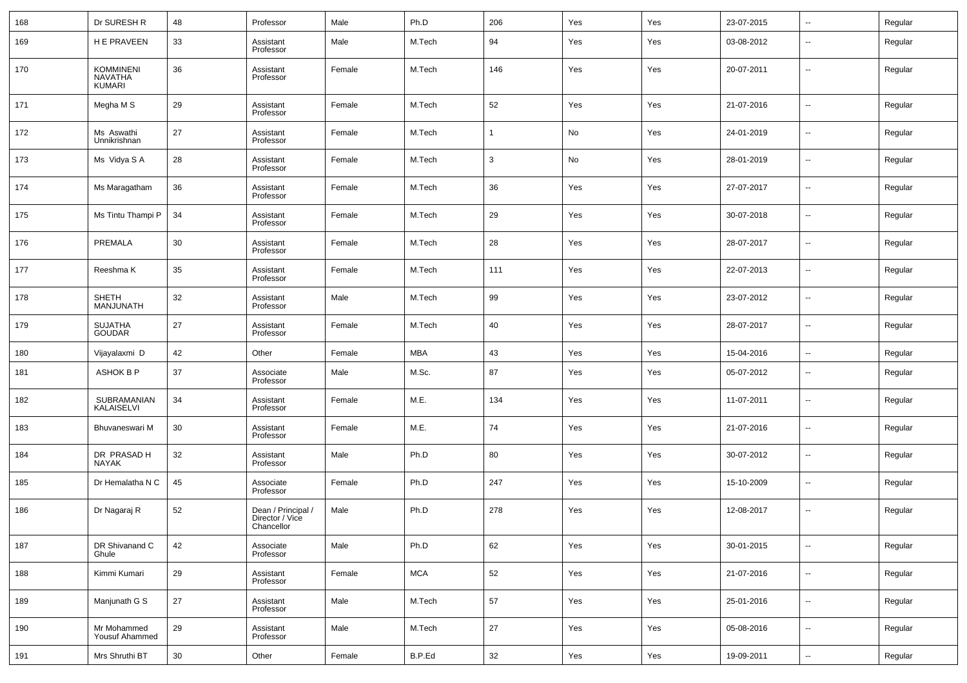| 168 | Dr SURESH R                                  | 48 | Professor                                           | Male   | Ph.D       | 206          | Yes | Yes | 23-07-2015 | $\overline{\phantom{a}}$ | Regular |
|-----|----------------------------------------------|----|-----------------------------------------------------|--------|------------|--------------|-----|-----|------------|--------------------------|---------|
| 169 | H E PRAVEEN                                  | 33 | Assistant<br>Professor                              | Male   | M.Tech     | 94           | Yes | Yes | 03-08-2012 | --                       | Regular |
| 170 | <b>KOMMINENI</b><br><b>NAVATHA</b><br>KUMARI | 36 | Assistant<br>Professor                              | Female | M.Tech     | 146          | Yes | Yes | 20-07-2011 | --                       | Regular |
| 171 | Megha M S                                    | 29 | Assistant<br>Professor                              | Female | M.Tech     | 52           | Yes | Yes | 21-07-2016 | --                       | Regular |
| 172 | Ms Aswathi<br>Unnikrishnan                   | 27 | Assistant<br>Professor                              | Female | M.Tech     | $\mathbf{1}$ | No  | Yes | 24-01-2019 | --                       | Regular |
| 173 | Ms Vidya S A                                 | 28 | Assistant<br>Professor                              | Female | M.Tech     | 3            | No  | Yes | 28-01-2019 | н.                       | Regular |
| 174 | Ms Maragatham                                | 36 | Assistant<br>Professor                              | Female | M.Tech     | 36           | Yes | Yes | 27-07-2017 | --                       | Regular |
| 175 | Ms Tintu Thampi P                            | 34 | Assistant<br>Professor                              | Female | M.Tech     | 29           | Yes | Yes | 30-07-2018 | --                       | Regular |
| 176 | PREMALA                                      | 30 | Assistant<br>Professor                              | Female | M.Tech     | 28           | Yes | Yes | 28-07-2017 | --                       | Regular |
| 177 | Reeshma K                                    | 35 | Assistant<br>Professor                              | Female | M.Tech     | 111          | Yes | Yes | 22-07-2013 | --                       | Regular |
| 178 | SHETH<br>MANJUNATH                           | 32 | Assistant<br>Professor                              | Male   | M.Tech     | 99           | Yes | Yes | 23-07-2012 | --                       | Regular |
| 179 | SUJATHA<br>GOUDAR                            | 27 | Assistant<br>Professor                              | Female | M.Tech     | 40           | Yes | Yes | 28-07-2017 | --                       | Regular |
| 180 | Vijayalaxmi D                                | 42 | Other                                               | Female | <b>MBA</b> | 43           | Yes | Yes | 15-04-2016 | --                       | Regular |
| 181 | ASHOK B P                                    | 37 | Associate<br>Professor                              | Male   | M.Sc.      | 87           | Yes | Yes | 05-07-2012 | --                       | Regular |
| 182 | SUBRAMANIAN<br>KALAISELVI                    | 34 | Assistant<br>Professor                              | Female | M.E.       | 134          | Yes | Yes | 11-07-2011 | --                       | Regular |
| 183 | Bhuvaneswari M                               | 30 | Assistant<br>Professor                              | Female | M.E.       | 74           | Yes | Yes | 21-07-2016 | --                       | Regular |
| 184 | DR PRASAD H<br><b>NAYAK</b>                  | 32 | Assistant<br>Professor                              | Male   | Ph.D       | 80           | Yes | Yes | 30-07-2012 | --                       | Regular |
| 185 | Dr Hemalatha N C                             | 45 | Associate<br>Professor                              | Female | Ph.D       | 247          | Yes | Yes | 15-10-2009 | --                       | Regular |
| 186 | Dr Nagaraj R                                 | 52 | Dean / Principal /<br>Director / Vice<br>Chancellor | Male   | Ph.D       | 278          | Yes | Yes | 12-08-2017 | --                       | Regular |
| 187 | DR Shivanand C<br>Ghule                      | 42 | Associate<br>Professor                              | Male   | Ph.D       | 62           | Yes | Yes | 30-01-2015 | $\overline{\phantom{a}}$ | Regular |
| 188 | Kimmi Kumari                                 | 29 | Assistant<br>Professor                              | Female | <b>MCA</b> | 52           | Yes | Yes | 21-07-2016 | $\sim$                   | Regular |
| 189 | Manjunath G S                                | 27 | Assistant<br>Professor                              | Male   | M.Tech     | 57           | Yes | Yes | 25-01-2016 | $\overline{\phantom{a}}$ | Regular |
| 190 | Mr Mohammed<br>Yousuf Ahammed                | 29 | Assistant<br>Professor                              | Male   | M.Tech     | 27           | Yes | Yes | 05-08-2016 | $\sim$                   | Regular |
| 191 | Mrs Shruthi BT                               | 30 | Other                                               | Female | B.P.Ed     | 32           | Yes | Yes | 19-09-2011 | $\overline{\phantom{a}}$ | Regular |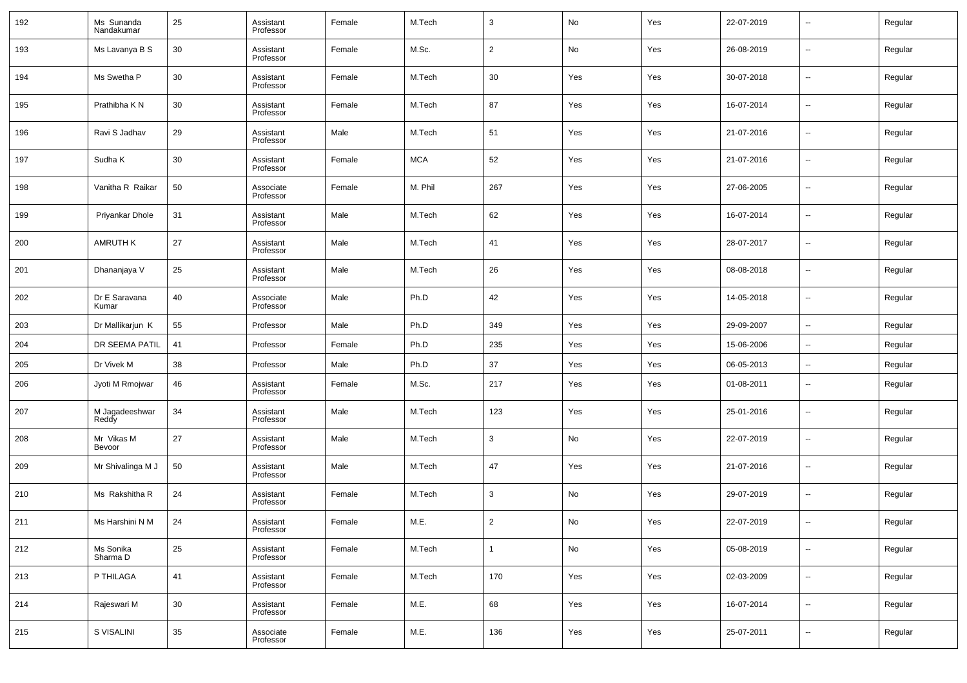| 192 | Ms Sunanda<br>Nandakumar | 25 | Assistant<br>Professor | Female | M.Tech     | 3              | No  | Yes | 22-07-2019 | $\sim$                   | Regular |
|-----|--------------------------|----|------------------------|--------|------------|----------------|-----|-----|------------|--------------------------|---------|
| 193 | Ms Lavanya B S           | 30 | Assistant<br>Professor | Female | M.Sc.      | 2              | No  | Yes | 26-08-2019 | $\sim$                   | Regular |
| 194 | Ms Swetha P              | 30 | Assistant<br>Professor | Female | M.Tech     | 30             | Yes | Yes | 30-07-2018 | $\sim$                   | Regular |
| 195 | Prathibha K N            | 30 | Assistant<br>Professor | Female | M.Tech     | 87             | Yes | Yes | 16-07-2014 | $\sim$                   | Regular |
| 196 | Ravi S Jadhav            | 29 | Assistant<br>Professor | Male   | M.Tech     | 51             | Yes | Yes | 21-07-2016 | $\sim$                   | Regular |
| 197 | Sudha K                  | 30 | Assistant<br>Professor | Female | <b>MCA</b> | 52             | Yes | Yes | 21-07-2016 | --                       | Regular |
| 198 | Vanitha R Raikar         | 50 | Associate<br>Professor | Female | M. Phil    | 267            | Yes | Yes | 27-06-2005 | $\sim$                   | Regular |
| 199 | Priyankar Dhole          | 31 | Assistant<br>Professor | Male   | M.Tech     | 62             | Yes | Yes | 16-07-2014 | --                       | Regular |
| 200 | <b>AMRUTH K</b>          | 27 | Assistant<br>Professor | Male   | M.Tech     | 41             | Yes | Yes | 28-07-2017 | $\sim$                   | Regular |
| 201 | Dhananjaya V             | 25 | Assistant<br>Professor | Male   | M.Tech     | 26             | Yes | Yes | 08-08-2018 | --                       | Regular |
| 202 | Dr E Saravana<br>Kumar   | 40 | Associate<br>Professor | Male   | Ph.D       | 42             | Yes | Yes | 14-05-2018 | --                       | Regular |
| 203 | Dr Mallikarjun K         | 55 | Professor              | Male   | Ph.D       | 349            | Yes | Yes | 29-09-2007 | $\overline{\phantom{a}}$ | Regular |
| 204 | DR SEEMA PATIL           | 41 | Professor              | Female | Ph.D       | 235            | Yes | Yes | 15-06-2006 | $\overline{\phantom{a}}$ | Regular |
| 205 | Dr Vivek M               | 38 | Professor              | Male   | Ph.D       | 37             | Yes | Yes | 06-05-2013 | $\overline{\phantom{a}}$ | Regular |
| 206 | Jyoti M Rmojwar          | 46 | Assistant<br>Professor | Female | M.Sc.      | 217            | Yes | Yes | 01-08-2011 | --                       | Regular |
| 207 | M Jagadeeshwar<br>Reddy  | 34 | Assistant<br>Professor | Male   | M.Tech     | 123            | Yes | Yes | 25-01-2016 | --                       | Regular |
| 208 | Mr Vikas M<br>Bevoor     | 27 | Assistant<br>Professor | Male   | M.Tech     | 3              | No  | Yes | 22-07-2019 | --                       | Regular |
| 209 | Mr Shivalinga M J        | 50 | Assistant<br>Professor | Male   | M.Tech     | 47             | Yes | Yes | 21-07-2016 | --                       | Regular |
| 210 | Ms Rakshitha R           | 24 | Assistant<br>Professor | Female | M.Tech     | 3              | No  | Yes | 29-07-2019 | --                       | Regular |
| 211 | Ms Harshini N M          | 24 | Assistant<br>Professor | Female | M.E.       | $\overline{2}$ | No  | Yes | 22-07-2019 | $\overline{a}$           | Regular |
| 212 | Ms Sonika<br>Sharma D    | 25 | Assistant<br>Professor | Female | M.Tech     | $\mathbf{1}$   | No  | Yes | 05-08-2019 | $\sim$                   | Regular |
| 213 | P THILAGA                | 41 | Assistant<br>Professor | Female | M.Tech     | 170            | Yes | Yes | 02-03-2009 | $\sim$                   | Regular |
| 214 | Rajeswari M              | 30 | Assistant<br>Professor | Female | M.E.       | 68             | Yes | Yes | 16-07-2014 | $\sim$                   | Regular |
| 215 | S VISALINI               | 35 | Associate<br>Professor | Female | M.E.       | 136            | Yes | Yes | 25-07-2011 | $\sim$                   | Regular |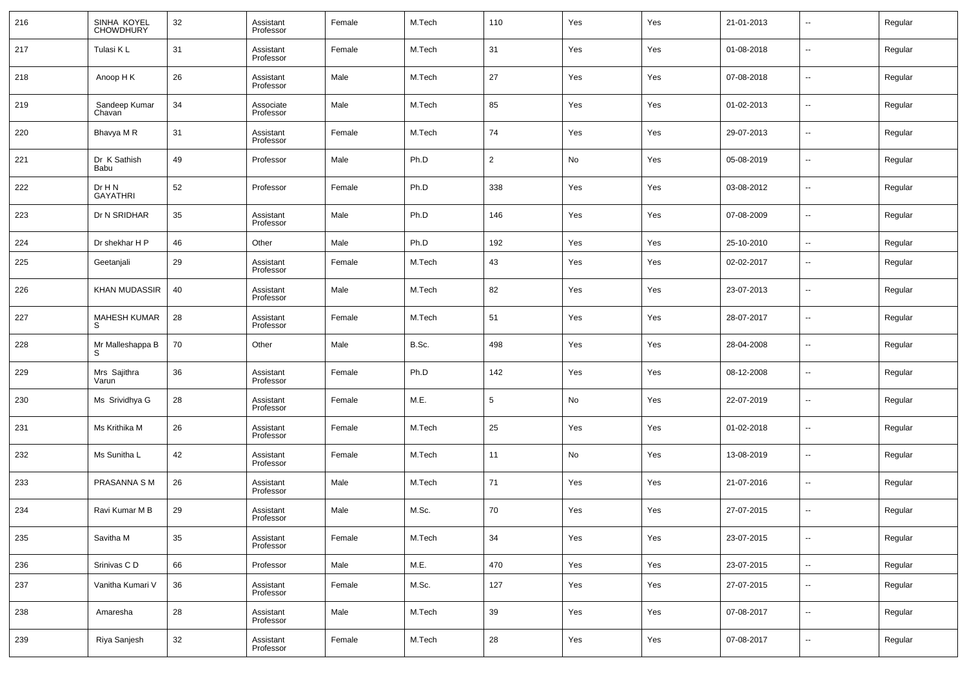| 216 | SINHA KOYEL<br>CHOWDHURY  | 32 | Assistant<br>Professor | Female | M.Tech | 110            | Yes | Yes | 21-01-2013 | $\overline{\phantom{a}}$ | Regular |
|-----|---------------------------|----|------------------------|--------|--------|----------------|-----|-----|------------|--------------------------|---------|
| 217 | Tulasi K L                | 31 | Assistant<br>Professor | Female | M.Tech | 31             | Yes | Yes | 01-08-2018 | $\overline{\phantom{a}}$ | Regular |
| 218 | Anoop H K                 | 26 | Assistant<br>Professor | Male   | M.Tech | 27             | Yes | Yes | 07-08-2018 | $\sim$                   | Regular |
| 219 | Sandeep Kumar<br>Chavan   | 34 | Associate<br>Professor | Male   | M.Tech | 85             | Yes | Yes | 01-02-2013 | $\overline{\phantom{a}}$ | Regular |
| 220 | Bhavya M R                | 31 | Assistant<br>Professor | Female | M.Tech | 74             | Yes | Yes | 29-07-2013 | $\sim$                   | Regular |
| 221 | Dr K Sathish<br>Babu      | 49 | Professor              | Male   | Ph.D   | $\overline{2}$ | No  | Yes | 05-08-2019 | $\overline{\phantom{a}}$ | Regular |
| 222 | Dr H N<br><b>GAYATHRI</b> | 52 | Professor              | Female | Ph.D   | 338            | Yes | Yes | 03-08-2012 | $\overline{\phantom{a}}$ | Regular |
| 223 | Dr N SRIDHAR              | 35 | Assistant<br>Professor | Male   | Ph.D   | 146            | Yes | Yes | 07-08-2009 | $\overline{\phantom{a}}$ | Regular |
| 224 | Dr shekhar H P            | 46 | Other                  | Male   | Ph.D   | 192            | Yes | Yes | 25-10-2010 | $\overline{\phantom{a}}$ | Regular |
| 225 | Geetanjali                | 29 | Assistant<br>Professor | Female | M.Tech | 43             | Yes | Yes | 02-02-2017 | $\overline{\phantom{a}}$ | Regular |
| 226 | KHAN MUDASSIR             | 40 | Assistant<br>Professor | Male   | M.Tech | 82             | Yes | Yes | 23-07-2013 | $\overline{\phantom{a}}$ | Regular |
| 227 | <b>MAHESH KUMAR</b><br>S  | 28 | Assistant<br>Professor | Female | M.Tech | 51             | Yes | Yes | 28-07-2017 | $\overline{\phantom{a}}$ | Regular |
| 228 | Mr Malleshappa B<br>S     | 70 | Other                  | Male   | B.Sc.  | 498            | Yes | Yes | 28-04-2008 | $\overline{\phantom{a}}$ | Regular |
| 229 | Mrs Sajithra<br>Varun     | 36 | Assistant<br>Professor | Female | Ph.D   | 142            | Yes | Yes | 08-12-2008 | $\overline{\phantom{a}}$ | Regular |
| 230 | Ms Srividhya G            | 28 | Assistant<br>Professor | Female | M.E.   | 5              | No  | Yes | 22-07-2019 | $\overline{\phantom{a}}$ | Regular |
| 231 | Ms Krithika M             | 26 | Assistant<br>Professor | Female | M.Tech | 25             | Yes | Yes | 01-02-2018 | $\overline{\phantom{a}}$ | Regular |
| 232 | Ms Sunitha L              | 42 | Assistant<br>Professor | Female | M.Tech | 11             | No  | Yes | 13-08-2019 | $\overline{\phantom{a}}$ | Regular |
| 233 | <b>PRASANNA SM</b>        | 26 | Assistant<br>Professor | Male   | M.Tech | 71             | Yes | Yes | 21-07-2016 | $\overline{\phantom{a}}$ | Regular |
| 234 | Ravi Kumar M B            | 29 | Assistant<br>Professor | Male   | M.Sc.  | 70             | Yes | Yes | 27-07-2015 | $\overline{\phantom{a}}$ | Regular |
| 235 | Savitha M                 | 35 | Assistant<br>Professor | Female | M.Tech | 34             | Yes | Yes | 23-07-2015 | ۰.                       | Regular |
| 236 | Srinivas CD               | 66 | Professor              | Male   | M.E.   | 470            | Yes | Yes | 23-07-2015 | $\sim$                   | Regular |
| 237 | Vanitha Kumari V          | 36 | Assistant<br>Professor | Female | M.Sc.  | 127            | Yes | Yes | 27-07-2015 | $\sim$                   | Regular |
| 238 | Amaresha                  | 28 | Assistant<br>Professor | Male   | M.Tech | 39             | Yes | Yes | 07-08-2017 | $\sim$                   | Regular |
| 239 | Riya Sanjesh              | 32 | Assistant<br>Professor | Female | M.Tech | 28             | Yes | Yes | 07-08-2017 | $\overline{\phantom{a}}$ | Regular |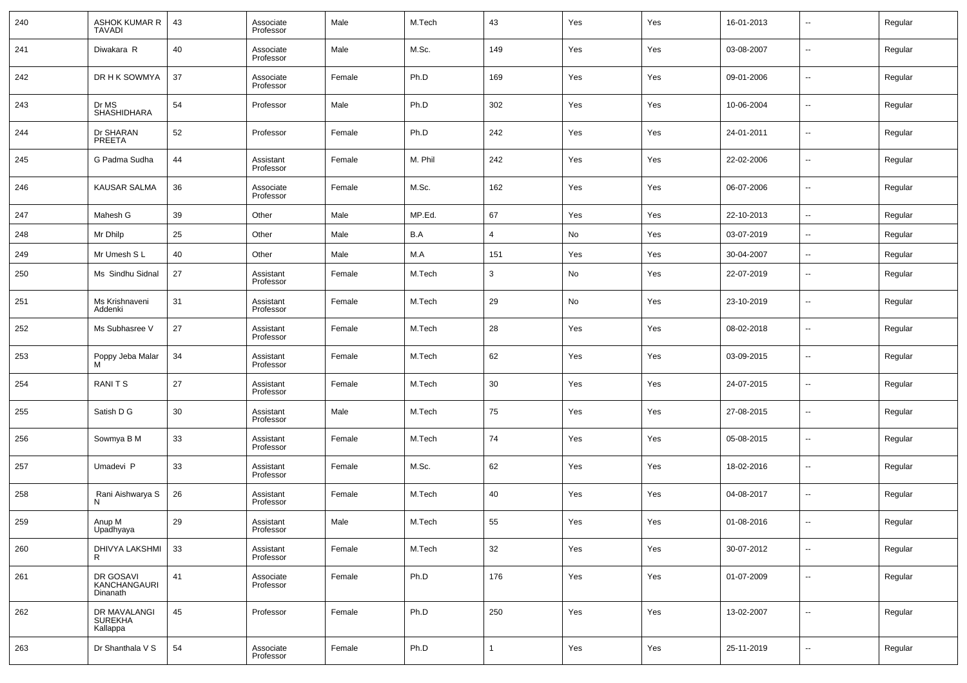| 240 | ASHOK KUMAR R<br><b>TAVADI</b>        | 43 | Associate<br>Professor | Male   | M.Tech  | 43             | Yes | Yes | 16-01-2013 | $\overline{\phantom{a}}$ | Regular |
|-----|---------------------------------------|----|------------------------|--------|---------|----------------|-----|-----|------------|--------------------------|---------|
| 241 | Diwakara R                            | 40 | Associate<br>Professor | Male   | M.Sc.   | 149            | Yes | Yes | 03-08-2007 | $\overline{\phantom{a}}$ | Regular |
| 242 | DR H K SOWMYA                         | 37 | Associate<br>Professor | Female | Ph.D    | 169            | Yes | Yes | 09-01-2006 | $\overline{\phantom{a}}$ | Regular |
| 243 | Dr MS<br><b>SHASHIDHARA</b>           | 54 | Professor              | Male   | Ph.D    | 302            | Yes | Yes | 10-06-2004 | $\overline{\phantom{a}}$ | Regular |
| 244 | Dr SHARAN<br>PREETA                   | 52 | Professor              | Female | Ph.D    | 242            | Yes | Yes | 24-01-2011 | $\overline{\phantom{a}}$ | Regular |
| 245 | G Padma Sudha                         | 44 | Assistant<br>Professor | Female | M. Phil | 242            | Yes | Yes | 22-02-2006 | $\overline{\phantom{a}}$ | Regular |
| 246 | <b>KAUSAR SALMA</b>                   | 36 | Associate<br>Professor | Female | M.Sc.   | 162            | Yes | Yes | 06-07-2006 | $\overline{\phantom{a}}$ | Regular |
| 247 | Mahesh G                              | 39 | Other                  | Male   | MP.Ed.  | 67             | Yes | Yes | 22-10-2013 | $\overline{\phantom{a}}$ | Regular |
| 248 | Mr Dhilp                              | 25 | Other                  | Male   | B.A     | $\overline{4}$ | No  | Yes | 03-07-2019 | н.                       | Regular |
| 249 | Mr Umesh S L                          | 40 | Other                  | Male   | M.A     | 151            | Yes | Yes | 30-04-2007 | $\overline{a}$           | Regular |
| 250 | Ms Sindhu Sidnal                      | 27 | Assistant<br>Professor | Female | M.Tech  | 3              | No  | Yes | 22-07-2019 | $\overline{\phantom{a}}$ | Regular |
| 251 | Ms Krishnaveni<br>Addenki             | 31 | Assistant<br>Professor | Female | M.Tech  | 29             | No  | Yes | 23-10-2019 | $\overline{\phantom{a}}$ | Regular |
| 252 | Ms Subhasree V                        | 27 | Assistant<br>Professor | Female | M.Tech  | 28             | Yes | Yes | 08-02-2018 | $\overline{\phantom{a}}$ | Regular |
| 253 | Poppy Jeba Malar<br>м                 | 34 | Assistant<br>Professor | Female | M.Tech  | 62             | Yes | Yes | 03-09-2015 | $\overline{\phantom{a}}$ | Regular |
| 254 | <b>RANITS</b>                         | 27 | Assistant<br>Professor | Female | M.Tech  | 30             | Yes | Yes | 24-07-2015 | --                       | Regular |
| 255 | Satish D G                            | 30 | Assistant<br>Professor | Male   | M.Tech  | 75             | Yes | Yes | 27-08-2015 | $\overline{\phantom{a}}$ | Regular |
| 256 | Sowmya B M                            | 33 | Assistant<br>Professor | Female | M.Tech  | 74             | Yes | Yes | 05-08-2015 | --                       | Regular |
| 257 | Umadevi P                             | 33 | Assistant<br>Professor | Female | M.Sc.   | 62             | Yes | Yes | 18-02-2016 | --                       | Regular |
| 258 | Rani Aishwarya S<br>N                 | 26 | Assistant<br>Professor | Female | M.Tech  | 40             | Yes | Yes | 04-08-2017 | --                       | Regular |
| 259 | Anup M<br>Upadhyaya                   | 29 | Assistant<br>Professor | Male   | M.Tech  | 55             | Yes | Yes | 01-08-2016 | --                       | Regular |
| 260 | DHIVYA LAKSHMI<br>R                   | 33 | Assistant<br>Professor | Female | M.Tech  | 32             | Yes | Yes | 30-07-2012 | $\sim$                   | Regular |
| 261 | DR GOSAVI<br>KANCHANGAURI<br>Dinanath | 41 | Associate<br>Professor | Female | Ph.D    | 176            | Yes | Yes | 01-07-2009 | $\sim$                   | Regular |
| 262 | DR MAVALANGI<br>SUREKHA<br>Kallappa   | 45 | Professor              | Female | Ph.D    | 250            | Yes | Yes | 13-02-2007 | $\sim$                   | Regular |
| 263 | Dr Shanthala V S                      | 54 | Associate<br>Professor | Female | Ph.D    | 1              | Yes | Yes | 25-11-2019 | Ξ.                       | Regular |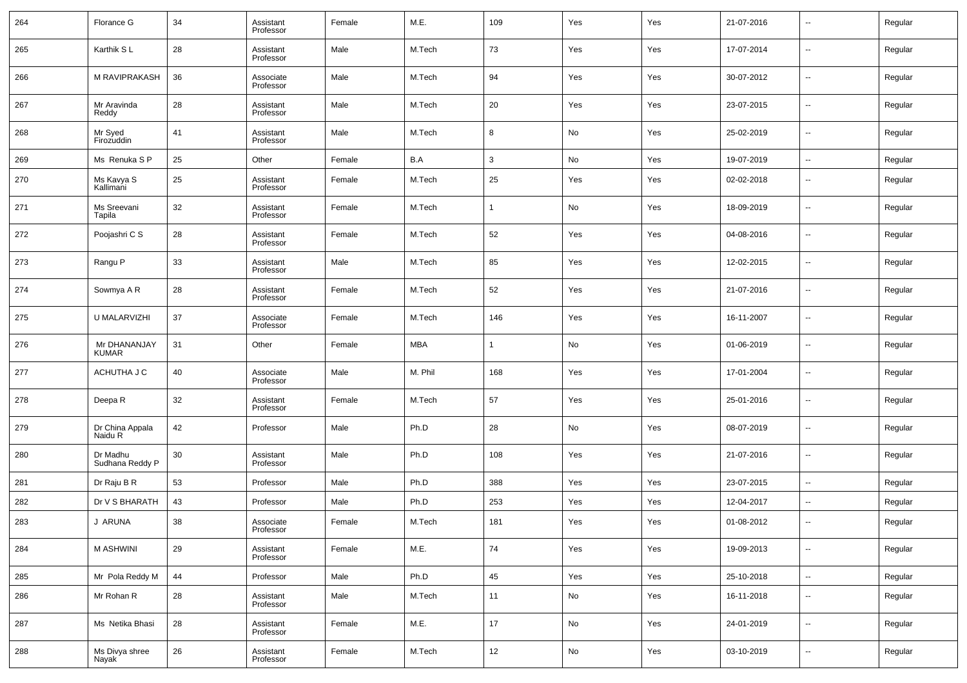| 264 | Florance G                           | 34 | Assistant<br>Professor | Female | M.E.    | 109          | Yes | Yes | 21-07-2016 | $\overline{\phantom{a}}$ | Regular |
|-----|--------------------------------------|----|------------------------|--------|---------|--------------|-----|-----|------------|--------------------------|---------|
| 265 | Karthik SL                           | 28 | Assistant<br>Professor | Male   | M.Tech  | 73           | Yes | Yes | 17-07-2014 | $\overline{\phantom{a}}$ | Regular |
| 266 | M RAVIPRAKASH                        | 36 | Associate<br>Professor | Male   | M.Tech  | 94           | Yes | Yes | 30-07-2012 | ÷.                       | Regular |
| 267 | Mr Aravinda<br>Reddy                 | 28 | Assistant<br>Professor | Male   | M.Tech  | 20           | Yes | Yes | 23-07-2015 | ÷.                       | Regular |
| 268 | Mr Syed<br>Firozuddin                | 41 | Assistant<br>Professor | Male   | M.Tech  | 8            | No  | Yes | 25-02-2019 | $\overline{\phantom{a}}$ | Regular |
| 269 | Ms Renuka SP                         | 25 | Other                  | Female | B.A     | $\mathbf{3}$ | No  | Yes | 19-07-2019 | $\overline{\phantom{a}}$ | Regular |
| 270 | Ms Kavya S<br>Kallimani              | 25 | Assistant<br>Professor | Female | M.Tech  | 25           | Yes | Yes | 02-02-2018 | --                       | Regular |
| 271 | Ms Sreevani<br>Tapila                | 32 | Assistant<br>Professor | Female | M.Tech  | 1            | No  | Yes | 18-09-2019 | Ξ.                       | Regular |
| 272 | Poojashri C S                        | 28 | Assistant<br>Professor | Female | M.Tech  | 52           | Yes | Yes | 04-08-2016 | --                       | Regular |
| 273 | Rangu P                              | 33 | Assistant<br>Professor | Male   | M.Tech  | 85           | Yes | Yes | 12-02-2015 | Ξ.                       | Regular |
| 274 | Sowmya A R                           | 28 | Assistant<br>Professor | Female | M.Tech  | 52           | Yes | Yes | 21-07-2016 | $\sim$                   | Regular |
| 275 | U MALARVIZHI                         | 37 | Associate<br>Professor | Female | M.Tech  | 146          | Yes | Yes | 16-11-2007 | Ξ.                       | Regular |
| 276 | Mr DHANANJAY<br>KUMAR                | 31 | Other                  | Female | MBA     | 1            | No  | Yes | 01-06-2019 | $\overline{\phantom{a}}$ | Regular |
| 277 | ACHUTHA J C                          | 40 | Associate<br>Professor | Male   | M. Phil | 168          | Yes | Yes | 17-01-2004 | --                       | Regular |
| 278 | Deepa R                              | 32 | Assistant<br>Professor | Female | M.Tech  | 57           | Yes | Yes | 25-01-2016 | Ξ.                       | Regular |
| 279 | Dr China Appala<br>Naidu R           | 42 | Professor              | Male   | Ph.D    | 28           | No  | Yes | 08-07-2019 | $\sim$                   | Regular |
| 280 | Dr Madhu<br>Sudhana Reddy P          | 30 | Assistant<br>Professor | Male   | Ph.D    | 108          | Yes | Yes | 21-07-2016 | --                       | Regular |
| 281 | Dr Raju B R                          | 53 | Professor              | Male   | Ph.D    | 388          | Yes | Yes | 23-07-2015 | $\sim$                   | Regular |
| 282 | Dr V S BHARATH                       | 43 | Professor              | Male   | Ph.D    | 253          | Yes | Yes | 12-04-2017 | --                       | Regular |
| 283 | J ARUNA                              | 38 | Associate<br>Professor | Female | M.Tech  | 181          | Yes | Yes | 01-08-2012 | $\overline{\phantom{a}}$ | Regular |
| 284 | M ASHWINI                            | 29 | Assistant<br>Professor | Female | M.E.    | 74           | Yes | Yes | 19-09-2013 | $\sim$                   | Regular |
| 285 | Mr Pola Reddy M                      | 44 | Professor              | Male   | Ph.D    | 45           | Yes | Yes | 25-10-2018 | Ξ.                       | Regular |
| 286 | Mr Rohan R                           | 28 | Assistant<br>Professor | Male   | M.Tech  | 11           | No  | Yes | 16-11-2018 | $\sim$                   | Regular |
| 287 | Ms Netika Bhasi                      | 28 | Assistant<br>Professor | Female | M.E.    | 17           | No  | Yes | 24-01-2019 | −−                       | Regular |
| 288 | Ms Divya shree<br>Nayak <sup>1</sup> | 26 | Assistant<br>Professor | Female | M.Tech  | 12           | No  | Yes | 03-10-2019 | н.                       | Regular |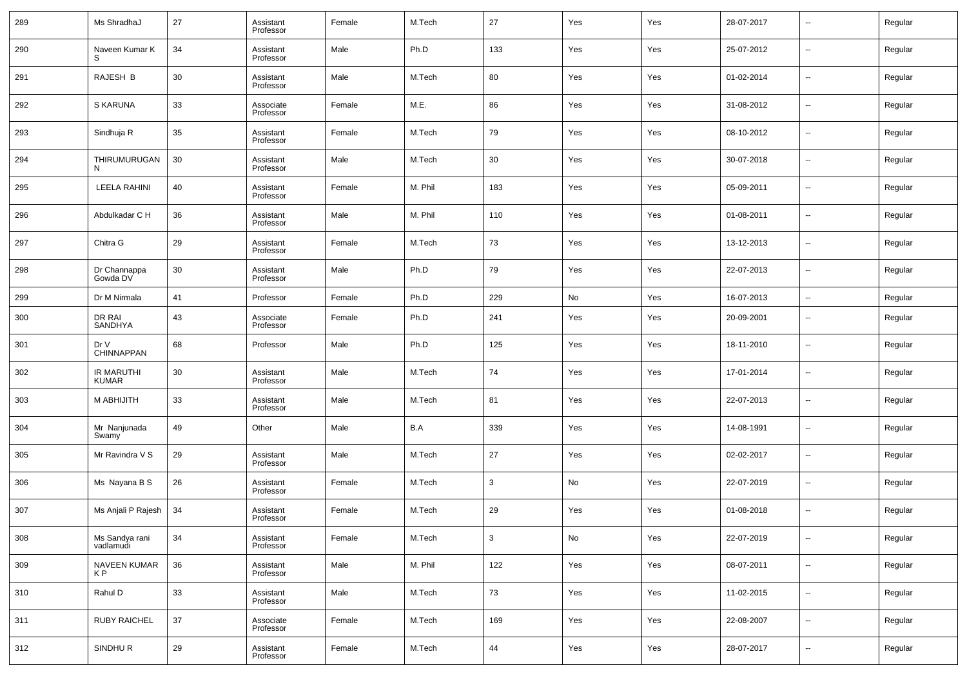| 289 | Ms ShradhaJ                       | 27 | Assistant<br>Professor | Female | M.Tech  | 27           | Yes | Yes | 28-07-2017 | $\overline{\phantom{a}}$ | Regular |
|-----|-----------------------------------|----|------------------------|--------|---------|--------------|-----|-----|------------|--------------------------|---------|
| 290 | Naveen Kumar K                    | 34 | Assistant<br>Professor | Male   | Ph.D    | 133          | Yes | Yes | 25-07-2012 | --                       | Regular |
| 291 | RAJESH B                          | 30 | Assistant<br>Professor | Male   | M.Tech  | 80           | Yes | Yes | 01-02-2014 | ш.                       | Regular |
| 292 | S KARUNA                          | 33 | Associate<br>Professor | Female | M.E.    | 86           | Yes | Yes | 31-08-2012 | $\overline{\phantom{a}}$ | Regular |
| 293 | Sindhuja R                        | 35 | Assistant<br>Professor | Female | M.Tech  | 79           | Yes | Yes | 08-10-2012 | ш.                       | Regular |
| 294 | THIRUMURUGAN<br>N.                | 30 | Assistant<br>Professor | Male   | M.Tech  | 30           | Yes | Yes | 30-07-2018 | $\overline{\phantom{a}}$ | Regular |
| 295 | <b>LEELA RAHINI</b>               | 40 | Assistant<br>Professor | Female | M. Phil | 183          | Yes | Yes | 05-09-2011 | ш.                       | Regular |
| 296 | Abdulkadar C H                    | 36 | Assistant<br>Professor | Male   | M. Phil | 110          | Yes | Yes | 01-08-2011 | $\overline{\phantom{a}}$ | Regular |
| 297 | Chitra G                          | 29 | Assistant<br>Professor | Female | M.Tech  | 73           | Yes | Yes | 13-12-2013 | ш.                       | Regular |
| 298 | Dr Channappa<br>Gowda DV          | 30 | Assistant<br>Professor | Male   | Ph.D    | 79           | Yes | Yes | 22-07-2013 | $\overline{\phantom{a}}$ | Regular |
| 299 | Dr M Nirmala                      | 41 | Professor              | Female | Ph.D    | 229          | No  | Yes | 16-07-2013 | $\overline{\phantom{a}}$ | Regular |
| 300 | DR RAI<br>SANDHYA                 | 43 | Associate<br>Professor | Female | Ph.D    | 241          | Yes | Yes | 20-09-2001 | $\sim$                   | Regular |
| 301 | Dr V<br>CHINNAPPAN                | 68 | Professor              | Male   | Ph.D    | 125          | Yes | Yes | 18-11-2010 | --                       | Regular |
| 302 | <b>IR MARUTHI</b><br><b>KUMAR</b> | 30 | Assistant<br>Professor | Male   | M.Tech  | 74           | Yes | Yes | 17-01-2014 | $\sim$                   | Regular |
| 303 | M ABHIJITH                        | 33 | Assistant<br>Professor | Male   | M.Tech  | 81           | Yes | Yes | 22-07-2013 | $\sim$                   | Regular |
| 304 | Mr Nanjunada<br>Swamy             | 49 | Other                  | Male   | B.A     | 339          | Yes | Yes | 14-08-1991 | $\overline{\phantom{a}}$ | Regular |
| 305 | Mr Ravindra V S                   | 29 | Assistant<br>Professor | Male   | M.Tech  | 27           | Yes | Yes | 02-02-2017 | $\sim$                   | Regular |
| 306 | Ms Nayana B S                     | 26 | Assistant<br>Professor | Female | M.Tech  | 3            | No  | Yes | 22-07-2019 | $\sim$                   | Regular |
| 307 | Ms Anjali P Rajesh                | 34 | Assistant<br>Professor | Female | M.Tech  | 29           | Yes | Yes | 01-08-2018 | --                       | Regular |
| 308 | Ms Sandya rani<br>vadlamudi       | 34 | Assistant<br>Professor | Female | M.Tech  | $\mathbf{3}$ | No  | Yes | 22-07-2019 | $\sim$                   | Regular |
| 309 | <b>NAVEEN KUMAR</b><br>KP         | 36 | Assistant<br>Professor | Male   | M. Phil | 122          | Yes | Yes | 08-07-2011 | $\sim$                   | Regular |
| 310 | Rahul D                           | 33 | Assistant<br>Professor | Male   | M.Tech  | 73           | Yes | Yes | 11-02-2015 | $\sim$                   | Regular |
| 311 | <b>RUBY RAICHEL</b>               | 37 | Associate<br>Professor | Female | M.Tech  | 169          | Yes | Yes | 22-08-2007 | $\sim$                   | Regular |
| 312 | SINDHUR                           | 29 | Assistant<br>Professor | Female | M.Tech  | 44           | Yes | Yes | 28-07-2017 | $\overline{\phantom{a}}$ | Regular |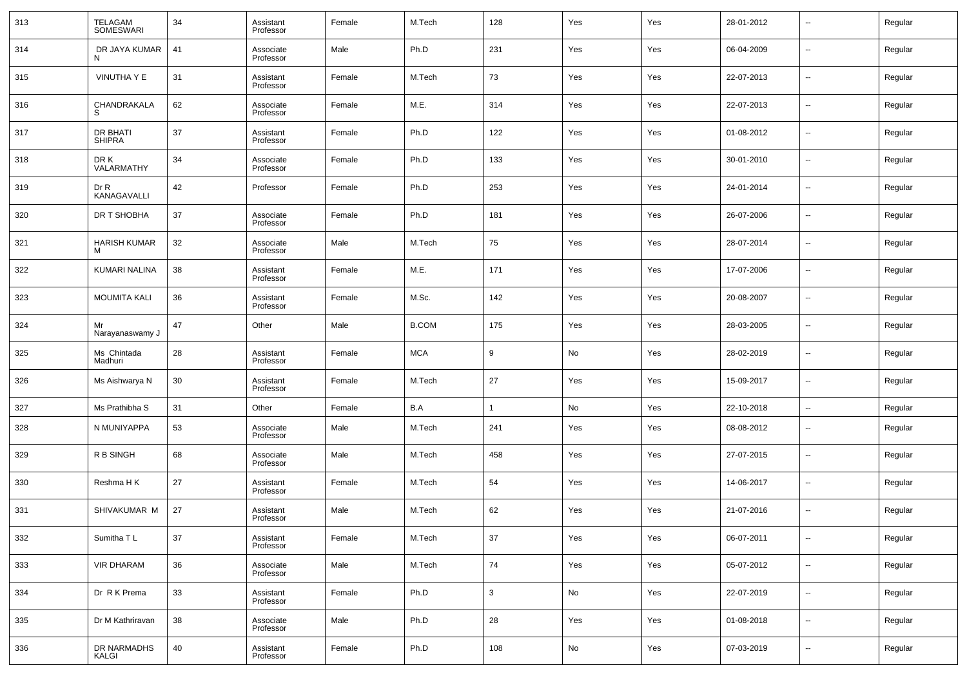| 313 | TELAGAM<br>SOMESWARI      | 34 | Assistant<br>Professor | Female | M.Tech       | 128          | Yes | Yes | 28-01-2012 | $\overline{\phantom{a}}$ | Regular |
|-----|---------------------------|----|------------------------|--------|--------------|--------------|-----|-----|------------|--------------------------|---------|
| 314 | DR JAYA KUMAR             | 41 | Associate<br>Professor | Male   | Ph.D         | 231          | Yes | Yes | 06-04-2009 | --                       | Regular |
| 315 | VINUTHA Y E               | 31 | Assistant<br>Professor | Female | M.Tech       | 73           | Yes | Yes | 22-07-2013 | $\overline{\phantom{a}}$ | Regular |
| 316 | CHANDRAKALA               | 62 | Associate<br>Professor | Female | M.E.         | 314          | Yes | Yes | 22-07-2013 | $\sim$                   | Regular |
| 317 | DR BHATI<br><b>SHIPRA</b> | 37 | Assistant<br>Professor | Female | Ph.D         | 122          | Yes | Yes | 01-08-2012 | ш,                       | Regular |
| 318 | DR K<br>VALARMATHY        | 34 | Associate<br>Professor | Female | Ph.D         | 133          | Yes | Yes | 30-01-2010 | $\overline{\phantom{a}}$ | Regular |
| 319 | Dr R<br>KANAGAVALLI       | 42 | Professor              | Female | Ph.D         | 253          | Yes | Yes | 24-01-2014 | ш,                       | Regular |
| 320 | DR T SHOBHA               | 37 | Associate<br>Professor | Female | Ph.D         | 181          | Yes | Yes | 26-07-2006 | $\overline{\phantom{a}}$ | Regular |
| 321 | <b>HARISH KUMAR</b>       | 32 | Associate<br>Professor | Male   | M.Tech       | 75           | Yes | Yes | 28-07-2014 | --                       | Regular |
| 322 | KUMARI NALINA             | 38 | Assistant<br>Professor | Female | M.E.         | 171          | Yes | Yes | 17-07-2006 | $\overline{\phantom{a}}$ | Regular |
| 323 | <b>MOUMITA KALI</b>       | 36 | Assistant<br>Professor | Female | M.Sc.        | 142          | Yes | Yes | 20-08-2007 | --                       | Regular |
| 324 | Mr<br>Narayanaswamy J     | 47 | Other                  | Male   | <b>B.COM</b> | 175          | Yes | Yes | 28-03-2005 | ш,                       | Regular |
| 325 | Ms Chintada<br>Madhuri    | 28 | Assistant<br>Professor | Female | <b>MCA</b>   | 9            | No  | Yes | 28-02-2019 | --                       | Regular |
| 326 | Ms Aishwarya N            | 30 | Assistant<br>Professor | Female | M.Tech       | 27           | Yes | Yes | 15-09-2017 | $\overline{a}$           | Regular |
| 327 | Ms Prathibha S            | 31 | Other                  | Female | B.A          | 1            | No  | Yes | 22-10-2018 | $\overline{\phantom{a}}$ | Regular |
| 328 | N MUNIYAPPA               | 53 | Associate<br>Professor | Male   | M.Tech       | 241          | Yes | Yes | 08-08-2012 | $\sim$                   | Regular |
| 329 | R B SINGH                 | 68 | Associate<br>Professor | Male   | M.Tech       | 458          | Yes | Yes | 27-07-2015 | $\sim$                   | Regular |
| 330 | Reshma H K                | 27 | Assistant<br>Professor | Female | M.Tech       | 54           | Yes | Yes | 14-06-2017 | $\sim$                   | Regular |
| 331 | SHIVAKUMAR M              | 27 | Assistant<br>Professor | Male   | M.Tech       | 62           | Yes | Yes | 21-07-2016 | --                       | Regular |
| 332 | Sumitha TL                | 37 | Assistant<br>Professor | Female | M.Tech       | 37           | Yes | Yes | 06-07-2011 | $\sim$                   | Regular |
| 333 | <b>VIR DHARAM</b>         | 36 | Associate<br>Professor | Male   | M.Tech       | 74           | Yes | Yes | 05-07-2012 | $\sim$                   | Regular |
| 334 | Dr R K Prema              | 33 | Assistant<br>Professor | Female | Ph.D         | $\mathbf{3}$ | No  | Yes | 22-07-2019 | $\sim$                   | Regular |
| 335 | Dr M Kathriravan          | 38 | Associate<br>Professor | Male   | Ph.D         | 28           | Yes | Yes | 01-08-2018 | $\sim$                   | Regular |
| 336 | DR NARMADHS<br>KALGI      | 40 | Assistant<br>Professor | Female | Ph.D         | 108          | No  | Yes | 07-03-2019 | $\sim$                   | Regular |